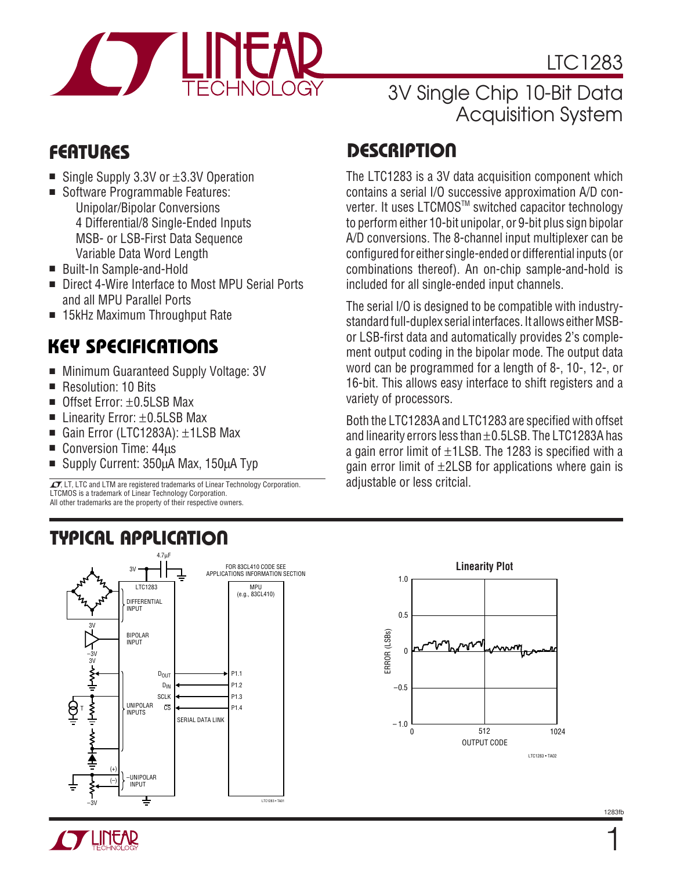

LTC1283

## 3V Single Chip 10-Bit Data Acquisition System

The LTC1283 is a 3V data acquisition component which contains a serial I/O successive approximation A/D converter. It uses LTCMOS™ switched capacitor technology to perform either 10-bit unipolar, or 9-bit plus sign bipolar A/D conversions. The 8-channel input multiplexer can be configured for either single-ended or differential inputs (or combinations thereof). An on-chip sample-and-hold is

The serial I/O is designed to be compatible with industrystandard full-duplex serial interfaces. It allows either MSBor LSB-first data and automatically provides 2's complement output coding in the bipolar mode. The output data word can be programmed for a length of 8-, 10-, 12-, or 16-bit. This allows easy interface to shift registers and a

Both the LTC1283A and LTC1283 are specified with offset and linearity errors less than ±0.5LSB. The LTC1283A has a gain error limit of  $\pm$ 1LSB. The 1283 is specified with a gain error limit of  $\pm$ 2LSB for applications where gain is

included for all single-ended input channels.

variety of processors.

adjustable or less critcial.

## **D <sup>U</sup> FEATURES ESCRIPTIO**

- Single Supply 3.3V or  $\pm$ 3.3V Operation
- Software Programmable Features: Unipolar/Bipolar Conversions 4 Differential/8 Single-Ended Inputs MSB- or LSB-First Data Sequence Variable Data Word Length
- Built-In Sample-and-Hold
- Direct 4-Wire Interface to Most MPU Serial Ports and all MPU Parallel Ports
- 15kHz Maximum Throughput Rate

## **KEY SPECIFICATIONS**

- Minimum Guaranteed Supply Voltage: 3V
- Resolution: 10 Bits
- Offset Error:  $\pm$ 0.5LSB Max
- Linearity Error: ±0.5LSB Max
- Gain Error (LTC1283A): ±1LSB Max
- Conversion Time: 44μs
- Supply Current: 350μA Max, 150μA Typ

 $\sqrt{J}$ , LT, LTC and LTM are registered trademarks of Linear Technology Corporation. LTCMOS is a trademark of Linear Technology Corporation. All other trademarks are the property of their respective owners.

## **U A O TYPICAL PPLICATI** 4.7μF









1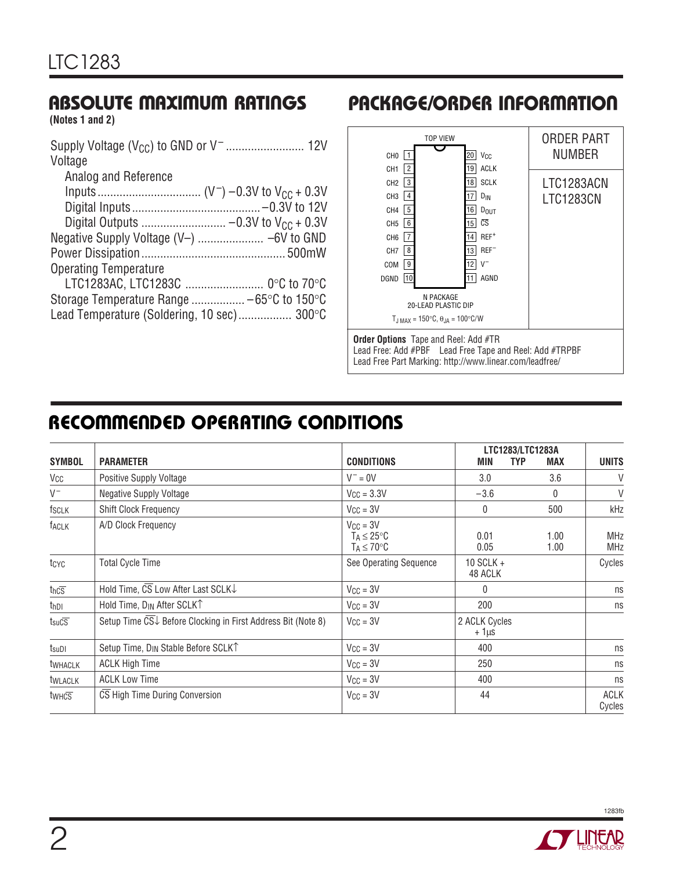## **ABSOLUTE MAXIMUM RATINGS**

**(Notes 1 and 2)**

## **PACKAGE/ORDER INFORMATION**



Lead Free Part Marking: http://www.linear.com/leadfree/

## **RECOMMENDED OPERATING CONDITIONS**

|                                     |                                                              |                                                                    | LTC1283/LTC1283A           |                          |                          |  |
|-------------------------------------|--------------------------------------------------------------|--------------------------------------------------------------------|----------------------------|--------------------------|--------------------------|--|
| <b>SYMBOL</b>                       | <b>PARAMETER</b>                                             | <b>CONDITIONS</b>                                                  | <b>MIN</b>                 | <b>TYP</b><br><b>MAX</b> | <b>UNITS</b>             |  |
| Vcc                                 | Positive Supply Voltage                                      | $V^- = 0V$                                                         | 3.0                        | 3.6                      | V                        |  |
| $V^-$                               | <b>Negative Supply Voltage</b>                               | $V_{\text{CC}} = 3.3V$                                             | $-3.6$                     | $\Omega$                 | V                        |  |
| fsclk                               | <b>Shift Clock Frequency</b>                                 | $V_{CC} = 3V$                                                      | 0                          | 500                      | kHz                      |  |
| <b>TACLK</b>                        | A/D Clock Frequency                                          | $V_{CC} = 3V$<br>$T_A \leq 25^{\circ}C$<br>$T_A \leq 70^{\circ}$ C | 0.01<br>0.05               | 1.00<br>1.00             | <b>MHz</b><br><b>MHz</b> |  |
| tcyc                                | <b>Total Cycle Time</b>                                      | See Operating Sequence                                             | 10 SCLK $+$<br>48 ACLK     |                          | Cycles                   |  |
| $tnc\overline{s}$                   | Hold Time, CS Low After Last SCLK↓                           | $V_{CC} = 3V$                                                      | $\theta$                   |                          | ns                       |  |
| t <sub>hDI</sub>                    | Hold Time, D <sub>IN</sub> After SCLKT                       | $V_{CC} = 3V$                                                      | 200                        |                          | ns                       |  |
| $t_{\text{suC}}\overline{\text{s}}$ | Setup Time CS↓ Before Clocking in First Address Bit (Note 8) | $V_{CC} = 3V$                                                      | 2 ACLK Cycles<br>$+1\mu s$ |                          |                          |  |
| $t_{\textrm{sub}}$                  | Setup Time, D <sub>IN</sub> Stable Before SCLK <sup>T</sup>  | $V_{\text{CC}} = 3V$                                               | 400                        |                          | ns                       |  |
| <b>twhACLK</b>                      | <b>ACLK High Time</b>                                        | $V_{CC} = 3V$                                                      | 250                        |                          | ns                       |  |
| <b>tWLACLK</b>                      | <b>ACLK Low Time</b>                                         | $V_{CC} = 3V$                                                      | 400                        |                          | ns                       |  |
| twhcs                               | CS High Time During Conversion                               | $V_{CC} = 3V$                                                      | 44                         |                          | <b>ACLK</b><br>Cycles    |  |

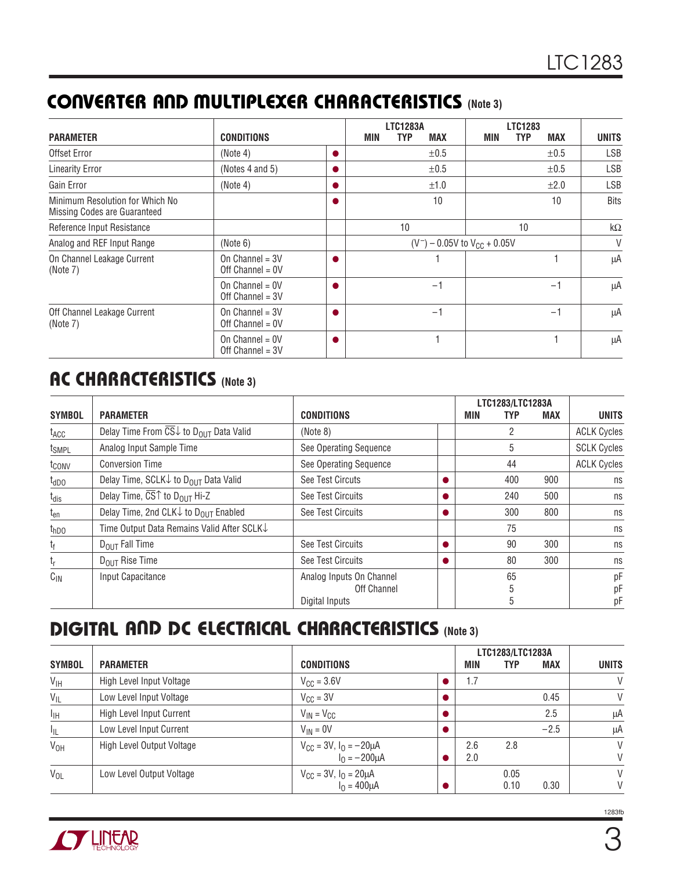## **CONVERTER AND MULTIPLEXER CHARACTERISTICS (Note 3)**

| <b>PARAMETER</b>                                                | <b>CONDITIONS</b>                       | MIN | <b>LTC1283A</b><br><b>TYP</b><br><b>MAX</b> | MIN | <b>LTC1283</b><br><b>TYP</b> | <b>MAX</b> | <b>UNITS</b> |
|-----------------------------------------------------------------|-----------------------------------------|-----|---------------------------------------------|-----|------------------------------|------------|--------------|
| Offset Error                                                    | (Note 4)                                |     | $\pm 0.5$                                   |     |                              | $\pm 0.5$  | <b>LSB</b>   |
| <b>Linearity Error</b>                                          | (Notes 4 and 5)                         |     | $\pm 0.5$                                   |     |                              | ±0.5       | <b>LSB</b>   |
| Gain Error                                                      | (Note 4)                                |     | ±1.0                                        |     |                              | $\pm 2.0$  | <b>LSB</b>   |
| Minimum Resolution for Which No<br>Missing Codes are Guaranteed |                                         |     | 10                                          |     |                              | 10         | <b>Bits</b>  |
| Reference Input Resistance                                      |                                         |     | 10                                          |     | 10                           |            | k $\Omega$   |
| Analog and REF Input Range                                      | (Note 6)                                |     | $(V^-)$ – 0.05V to $V_{CC}$ + 0.05V         |     |                              |            | V            |
| On Channel Leakage Current<br>(Note 7)                          | On Channel = $3V$<br>Off Channel = $0V$ |     |                                             |     |                              |            | μA           |
|                                                                 | On Channel = $0V$<br>Off Channel = $3V$ |     | $-1$                                        |     |                              | $-1$       | μA           |
| Off Channel Leakage Current<br>(Note 7)                         | On Channel = $3V$<br>Off Channel = $0V$ |     | $-1$                                        |     |                              | $-1$       | μA           |
|                                                                 | On Channel = $0V$<br>Off Channel = $3V$ |     |                                             |     |                              |            | μA           |

## **AC CHARACTERISTICS (Note 3)**

|                   |                                                                                 |                          |     | LTC1283/LTC1283A |     |                    |
|-------------------|---------------------------------------------------------------------------------|--------------------------|-----|------------------|-----|--------------------|
| <b>SYMBOL</b>     | <b>PARAMETER</b>                                                                | <b>CONDITIONS</b>        | MIN | TYP              | MAX | <b>UNITS</b>       |
| t <sub>ACC</sub>  | Delay Time From $\overline{\text{CS}}\downarrow$ to D <sub>OUT</sub> Data Valid | (Note 8)                 |     | 2                |     | <b>ACLK Cycles</b> |
| t <sub>SMPL</sub> | Analog Input Sample Time                                                        | See Operating Sequence   |     | 5                |     | <b>SCLK Cycles</b> |
| t <sub>conv</sub> | <b>Conversion Time</b>                                                          | See Operating Sequence   | 44  |                  |     | <b>ACLK Cycles</b> |
| $t_{dDO}$         | Delay Time, SCLK $\downarrow$ to D <sub>OUT</sub> Data Valid                    | See Test Circuts         |     | 400              | 900 | ns                 |
| $t_{dis}$         | Delay Time, $\overline{\text{CS}}\text{T}$ to D <sub>OUT</sub> Hi-Z             | See Test Circuits        |     | 240              | 500 | ns                 |
| $t_{en}$          | Delay Time, 2nd CLK $\downarrow$ to D <sub>OUT</sub> Enabled                    | See Test Circuits        |     | 300              | 800 | ns                 |
| t <sub>hDO</sub>  | Time Output Data Remains Valid After SCLK↓                                      |                          |     | 75               |     | ns                 |
| t <sub>f</sub>    | $D_{OIII}$ Fall Time                                                            | See Test Circuits        |     | 90               | 300 | ns                 |
| tŗ                | $D_{OIII}$ Rise Time                                                            | See Test Circuits        |     | 80               | 300 | ns                 |
| $C_{\text{IN}}$   | Input Capacitance                                                               | Analog Inputs On Channel |     | 65               |     | рF                 |
|                   |                                                                                 | Off Channel              |     | 5                |     | pF                 |
|                   |                                                                                 | Digital Inputs           |     | 5                |     | рF                 |

## **DIGITAL AND DC ELECTRICAL CHARACTERISTICS (Note 3)**

|                 |                           |                                                       |     | LTC1283/LTC1283A |        |              |
|-----------------|---------------------------|-------------------------------------------------------|-----|------------------|--------|--------------|
| <b>SYMBOL</b>   | <b>PARAMETER</b>          | <b>CONDITIONS</b>                                     | MIN | <b>TYP</b>       | MAX    | <b>UNITS</b> |
| $V_{\text{IH}}$ | High Level Input Voltage  | $V_{\text{CC}} = 3.6V$                                | 1.7 |                  |        | V            |
| $V_{IL}$        | Low Level Input Voltage   | $V_{\text{CC}} = 3V$                                  |     |                  | 0.45   | V            |
| $I_{\text{IH}}$ | High Level Input Current  | $V_{IN} = V_{CC}$                                     |     |                  | 2.5    | μA           |
| $I_{IL}$        | Low Level Input Current   | $V_{IN} = 0V$                                         |     |                  | $-2.5$ | μA           |
| V <sub>OH</sub> | High Level Output Voltage | $V_{CC} = 3V$ , $I_0 = -20 \mu A$                     | 2.6 | 2.8              |        | V            |
|                 |                           | $I_0 = -200 \mu A$                                    | 2.0 |                  |        | V            |
| $V_{OL}$        | Low Level Output Voltage  |                                                       |     | 0.05             |        | V            |
|                 |                           | $V_{CC} = 3V$ , $I_0 = 20 \mu A$<br>$I_0 = 400 \mu A$ |     | 0.10             | 0.30   | V            |

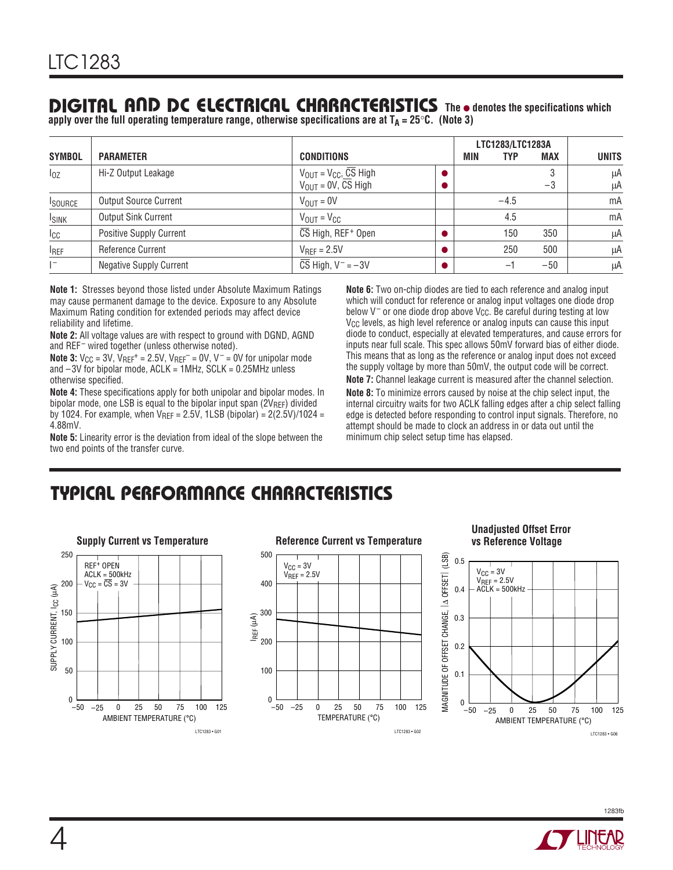## **DIGITAL AND DC ELECTRICAL CHARACTERISTICS** The **•** denotes the specifications which

apply over the full operating temperature range, otherwise specifications are at T<sub>A</sub> = 25°C. (Note 3)

|                |                                |                                        |     | LTC1283/LTC1283A |            |              |
|----------------|--------------------------------|----------------------------------------|-----|------------------|------------|--------------|
| <b>SYMBOL</b>  | <b>PARAMETER</b>               | <b>CONDITIONS</b>                      | MIN | <b>TYP</b>       | <b>MAX</b> | <b>UNITS</b> |
| $I_{0Z}$       | Hi-Z Output Leakage            | $V_{OUT} = V_{CC}, \overline{CS}$ High |     |                  | 3          | μA           |
|                |                                | $V_{\text{OUT}} = 0V$ , CS High        |     |                  | $-3$       | μA           |
| <b>ISOURCE</b> | <b>Output Source Current</b>   | $V_{OUIT} = 0V$                        |     | $-4.5$           |            | mA           |
| <b>ISINK</b>   | <b>Output Sink Current</b>     | $V_{\text{OUT}} = V_{\text{CC}}$       |     | 4.5              |            | mA           |
| $I_{CC}$       | <b>Positive Supply Current</b> | CS High, REF+ Open                     |     | 150              | 350        | μA           |
| <b>IREF</b>    | Reference Current              | $V_{\text{RFF}} = 2.5V$                |     | 250              | 500        | μA           |
| $1 -$          | <b>Negative Supply Current</b> | CS High, $V^- = -3V$                   |     | $-1$             | $-50$      | μA           |

**Note 1:** Stresses beyond those listed under Absolute Maximum Ratings may cause permanent damage to the device. Exposure to any Absolute Maximum Rating condition for extended periods may affect device reliability and lifetime.

**Note 2:** All voltage values are with respect to ground with DGND, AGND and REF<sup>-</sup> wired together (unless otherwise noted).

**Note 3:**  $V_{CC} = 3V$ ,  $V_{REF} = 2.5V$ ,  $V_{REF} = 0V$ ,  $V = 0V$  for unipolar mode and  $-3V$  for bipolar mode, ACLK = 1MHz, SCLK = 0.25MHz unless otherwise specified.

**Note 4:** These specifications apply for both unipolar and bipolar modes. In bipolar mode, one LSB is equal to the bipolar input span (2VREF) divided by 1024. For example, when  $V_{REF} = 2.5V$ , 1LSB (bipolar) = 2(2.5V)/1024 = 4.88mV.

**Note 5:** Linearity error is the deviation from ideal of the slope between the two end points of the transfer curve.

**Note 6:** Two on-chip diodes are tied to each reference and analog input which will conduct for reference or analog input voltages one diode drop below  $V^-$  or one diode drop above V<sub>CC</sub>. Be careful during testing at low V<sub>CC</sub> levels, as high level reference or analog inputs can cause this input diode to conduct, especially at elevated temperatures, and cause errors for inputs near full scale. This spec allows 50mV forward bias of either diode. This means that as long as the reference or analog input does not exceed the supply voltage by more than 50mV, the output code will be correct.

**Note 7:** Channel leakage current is measured after the channel selection. **Note 8:** To minimize errors caused by noise at the chip select input, the internal circuitry waits for two ACLK falling edges after a chip select falling edge is detected before responding to control input signals. Therefore, no attempt should be made to clock an address in or data out until the minimum chip select setup time has elapsed.

## **C C HARA TERISTICS U W TYPICAL PERFOR A CE**





#### **Unadjusted Offset Error vs Reference Voltage**



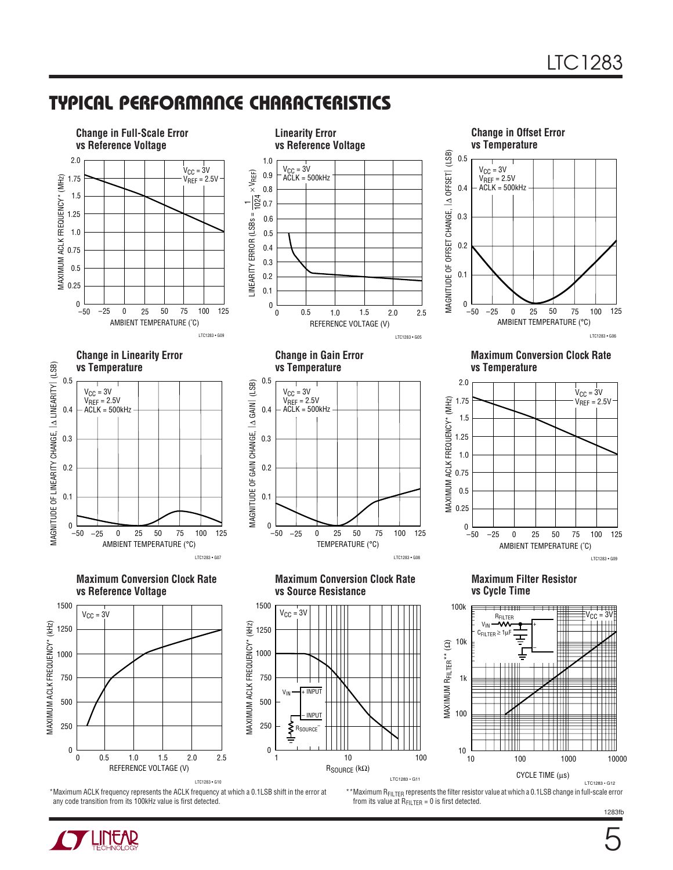## **C C HARA TERISTICS U W TYPICAL PERFOR A CE**



\*Maximum ACLK frequency represents the ACLK frequency at which a 0.1LSB shift in the error at any code transition from its 100kHz value is first detected.

\*\*Maximum R<sub>FILTER</sub> represents the filter resistor value at which a 0.1LSB change in full-scale error from its value at  $R_{FILTER} = 0$  is first detected.



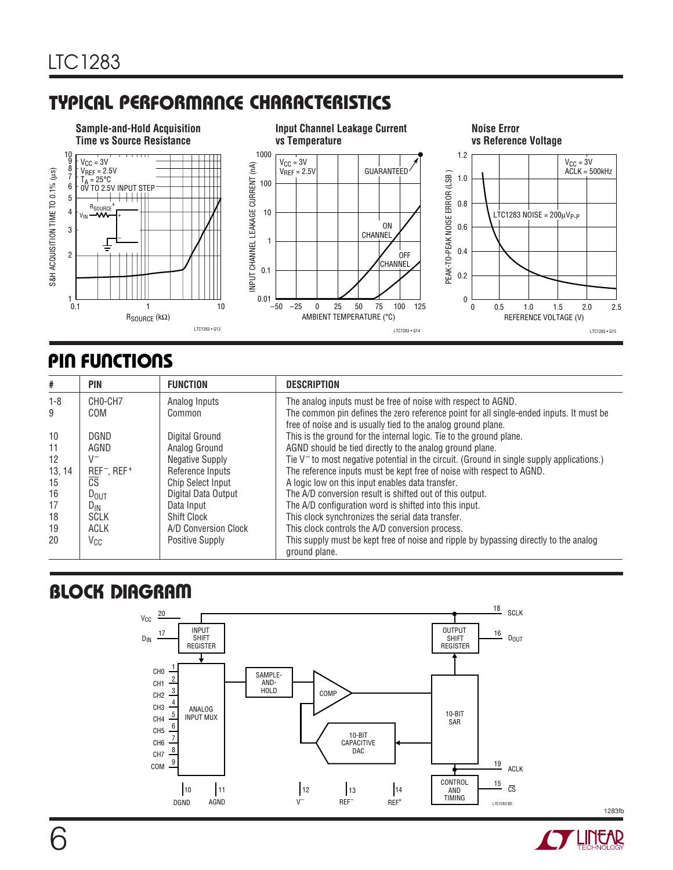## **C C HARA TERISTICS U W TYPICAL PERFOR A CE**



## **PIN FUNCTIONS**

| #       | PIN                                 | <b>FUNCTION</b>          | <b>DESCRIPTION</b>                                                                                                                                       |
|---------|-------------------------------------|--------------------------|----------------------------------------------------------------------------------------------------------------------------------------------------------|
| $1 - 8$ | CHO-CH7                             | Analog Inputs            | The analog inputs must be free of noise with respect to AGND.                                                                                            |
| 9       | COM                                 | Common                   | The common pin defines the zero reference point for all single-ended inputs. It must be<br>free of noise and is usually tied to the analog ground plane. |
| 10      | DGND                                | Digital Ground           | This is the ground for the internal logic. Tie to the ground plane.                                                                                      |
| 11      | AGND                                | Analog Ground            | AGND should be tied directly to the analog ground plane.                                                                                                 |
| 12      | $V^-$                               | <b>Negative Supply</b>   | Tie V <sup>-</sup> to most negative potential in the circuit. (Ground in single supply applications.)                                                    |
| 13, 14  | REF <sup>-</sup> , REF <sup>+</sup> | Reference Inputs         | The reference inputs must be kept free of noise with respect to AGND.                                                                                    |
| 15      | CS                                  | <b>Chip Select Input</b> | A logic low on this input enables data transfer.                                                                                                         |
| 16      | $D_{\text{OUT}}$                    | Digital Data Output      | The A/D conversion result is shifted out of this output.                                                                                                 |
| 17      | $D_{IN}$                            | Data Input               | The A/D configuration word is shifted into this input.                                                                                                   |
| 18      | <b>SCLK</b>                         | <b>Shift Clock</b>       | This clock synchronizes the serial data transfer.                                                                                                        |
| 19      | ACLK                                | A/D Conversion Clock     | This clock controls the A/D conversion process.                                                                                                          |
| 20      | Vcc                                 | <b>Positive Supply</b>   | This supply must be kept free of noise and ripple by bypassing directly to the analog<br>ground plane.                                                   |

# **BLOCK DIAGRAM**



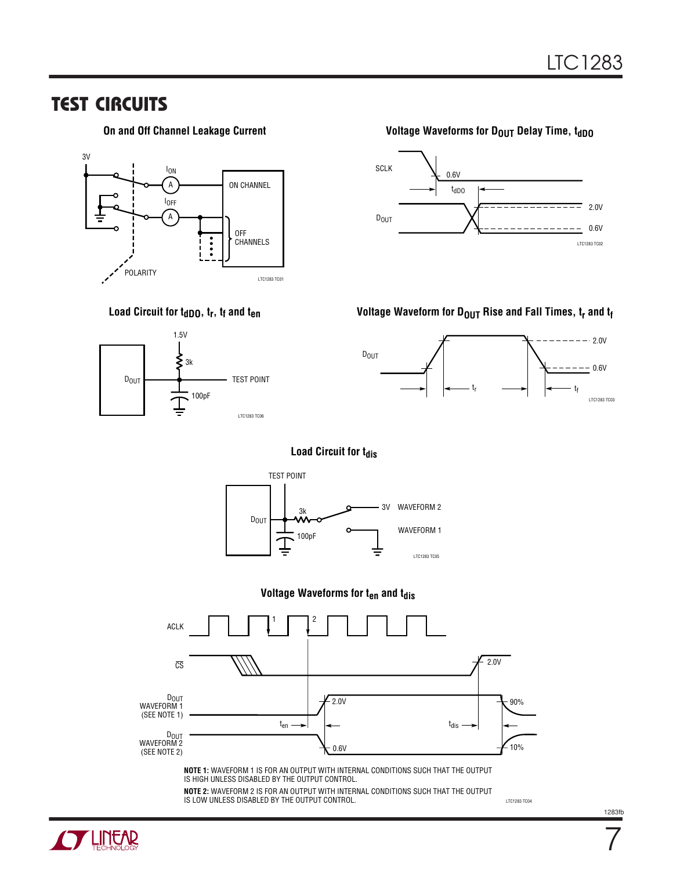## **TEST CIRCUITS**

**On and Off Channel Leakage Current**



## Load Circuit for t<sub>dDO</sub>, t<sub>r</sub>, t<sub>f</sub> and t<sub>en</sub>



### **Voltage Waveforms for DOUT Delay Time, toppo**



Voltage Waveform for D<sub>OUT</sub> Rise and Fall Times, t<sub>r</sub> and t<sub>f</sub>



#### **Load Circuit for t<sub>dis</sub>**



#### **Voltage Waveforms for t<sub>en</sub> and t<sub>dis</sub>**



**NOTE 1:** WAVEFORM 1 IS FOR AN OUTPUT WITH INTERNAL CONDITIONS SUCH THAT THE OUTPUT IS HIGH UNLESS DISABLED BY THE OUTPUT CONTROL.

**NOTE 2:** WAVEFORM 2 IS FOR AN OUTPUT WITH INTERNAL CONDITIONS SUCH THAT THE OUTPUT IS LOW UNLESS DISABLED BY THE OUTPUT CONTROL. **EXAMPLE 20 AU 2012 12 AU 2013 AU 2013 AU 2013 AU 2013 AU 2013 ROSA** 



7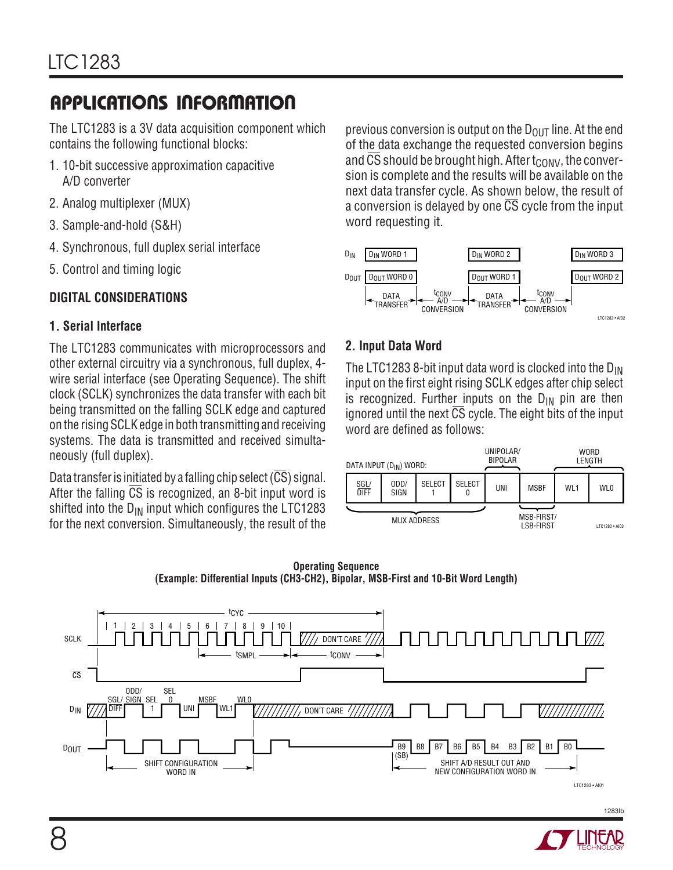The LTC1283 is a 3V data acquisition component which contains the following functional blocks:

- 1. 10-bit successive approximation capacitive A/D converter
- 2. Analog multiplexer (MUX)
- 3. Sample-and-hold (S&H)
- 4. Synchronous, full duplex serial interface
- 5. Control and timing logic

## **DIGITAL CONSIDERATIONS**

## **1. Serial Interface**

The LTC1283 communicates with microprocessors and other external circuitry via a synchronous, full duplex, 4 wire serial interface (see Operating Sequence). The shift clock (SCLK) synchronizes the data transfer with each bit being transmitted on the falling SCLK edge and captured on the rising SCLK edge in both transmitting and receiving systems. The data is transmitted and received simultaneously (full duplex).

Data transfer is initiated by a falling chip select (CS) signal. After the falling  $\overline{CS}$  is recognized, an 8-bit input word is shifted into the  $D_{IN}$  input which configures the LTC1283 for the next conversion. Simultaneously, the result of the previous conversion is output on the  $D_{O \cup T}$  line. At the end of the data exchange the requested conversion begins and CS should be brought high. After  $t_{\text{CONV}}$ , the conversion is complete and the results will be available on the next data transfer cycle. As shown below, the result of a conversion is delayed by one  $\overline{CS}$  cycle from the input word requesting it.



## **2. Input Data Word**

The LTC1283 8-bit input data word is clocked into the  $D_{IN}$ input on the first eight rising SCLK edges after chip select is recognized. Further inputs on the  $D_{IN}$  pin are then ignored until the next  $\overline{CS}$  cycle. The eight bits of the input word are defined as follows:

| DATA INPUT (D <sub>IN</sub> ) WORD: |              |                    |               | UNIPOLAR/<br><b>BIPOLAR</b> |                                |                 | WORD<br>LENGTH  |
|-------------------------------------|--------------|--------------------|---------------|-----------------------------|--------------------------------|-----------------|-----------------|
| SGL/<br><b>DIFF</b>                 | ODD/<br>SIGN | <b>SELECT</b>      | <b>SELECT</b> | UNI                         | <b>MSBF</b>                    | WL <sub>1</sub> | WL <sub>0</sub> |
|                                     |              | <b>MUX ADDRESS</b> |               |                             | MSB-FIRST/<br><b>LSB-FIRST</b> |                 | LTC1283 · AI03  |



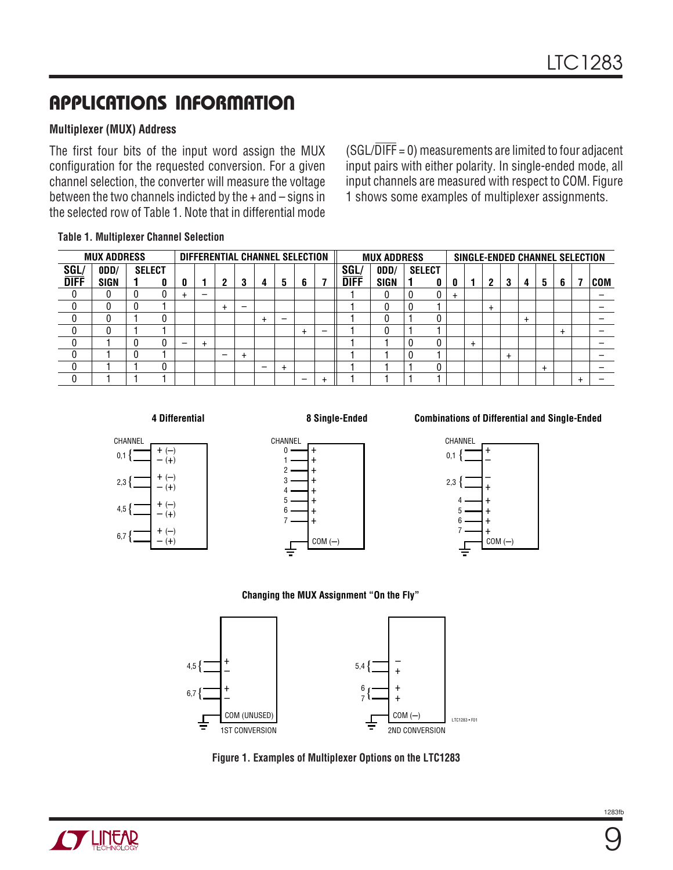### **Multiplexer (MUX) Address**

The first four bits of the input word assign the MUX configuration for the requested conversion. For a given channel selection, the converter will measure the voltage between the two channels indicted by the + and – signs in the selected row of Table 1. Note that in differential mode  $(SGL/\overline{DIFF} = 0)$  measurements are limited to four adjacent input pairs with either polarity. In single-ended mode, all input channels are measured with respect to COM. Figure 1 shows some examples of multiplexer assignments.

|  | <b>Table 1. Multiplexer Channel Selection</b> |  |  |
|--|-----------------------------------------------|--|--|
|--|-----------------------------------------------|--|--|

| DIFFERENTIAL CHANNEL SELECTION<br><b>MUX ADDRESS</b> |      |               |   |  |   |   | <b>MUX ADDRESS</b> |   |   |   |  |             | SINGLE-ENDED CHANNEL SELECTION |               |   |           |           |       |        |   |     |
|------------------------------------------------------|------|---------------|---|--|---|---|--------------------|---|---|---|--|-------------|--------------------------------|---------------|---|-----------|-----------|-------|--------|---|-----|
| SGL/                                                 | 0DD/ | <b>SELECT</b> |   |  |   |   |                    |   |   |   |  | SGL         | 0DD/                           | <b>SELECT</b> |   |           |           |       |        |   |     |
| <b>DIFF</b>                                          | SIGN |               | 0 |  |   | ົ | -3                 | 4 | 5 | 6 |  | <b>DIFF</b> | SIGN                           |               | 0 | 2         | 3         | 4     | 5      | 6 | COM |
|                                                      |      |               |   |  | - |   |                    |   |   |   |  |             | 0                              |               | ÷ |           |           |       |        |   |     |
|                                                      |      |               |   |  |   |   |                    |   |   |   |  |             | υ                              |               |   | $\ddot{}$ |           |       |        |   |     |
|                                                      |      |               |   |  |   |   |                    |   |   |   |  |             | 0                              |               |   |           |           | $\pm$ |        |   |     |
|                                                      |      |               |   |  |   |   |                    |   |   |   |  |             | 0                              |               |   |           |           |       |        |   |     |
|                                                      |      |               |   |  |   |   |                    |   |   |   |  |             |                                |               |   |           |           |       |        |   |     |
|                                                      |      |               |   |  |   | — |                    |   |   |   |  |             |                                |               |   |           | $\ddot{}$ |       |        |   |     |
|                                                      |      |               |   |  |   |   |                    | - |   |   |  |             |                                |               |   |           |           |       | $\div$ |   |     |
|                                                      |      |               |   |  |   |   |                    |   |   |   |  |             |                                |               |   |           |           |       |        |   |     |

#### **4 Differential**

#### **8 Single-Ended**





#### **Combinations of Differential and Single-Ended**



#### **Changing the MUX Assignment "On the Fly"**



**Figure 1. Examples of Multiplexer Options on the LTC1283**



9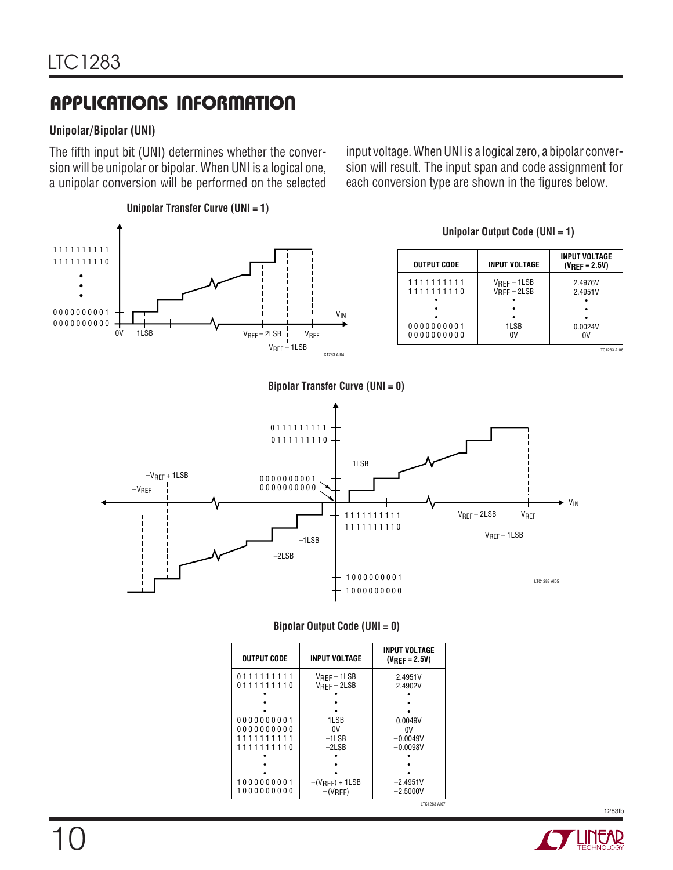### **Unipolar/Bipolar (UNI)**

The fifth input bit (UNI) determines whether the conversion will be unipolar or bipolar. When UNI is a logical one, a unipolar conversion will be performed on the selected

input voltage. When UNI is a logical zero, a bipolar conversion will result. The input span and code assignment for each conversion type are shown in the figures below.



#### **Bipolar Output Code (UNI = 0)**

| <b>OUTPUT CODE</b>       | <b>INPUT VOLTAGE</b>                      | <b>INPUT VOLTAGE</b><br>$(V_{RFF} = 2.5V)$ |  |  |  |
|--------------------------|-------------------------------------------|--------------------------------------------|--|--|--|
| 0111111111<br>0111111110 | $V_{\text{RFF}} - 1LSB$<br>$V$ RFF – 2LSB |                                            |  |  |  |
| 0000000001<br>0000000000 | 1LSB<br>0V                                | 0.0049V                                    |  |  |  |
| 1111111111<br>1111111110 | $-1LSB$<br>$-2LSB$                        | 0V<br>$-0.0049V$<br>$-0.0098V$             |  |  |  |
| 1000000001<br>1000000000 | $-(V_{REF}) + 1LSB$<br>$-(V_{REF})$       | $-2.4951V$<br>$-2.5000V$                   |  |  |  |

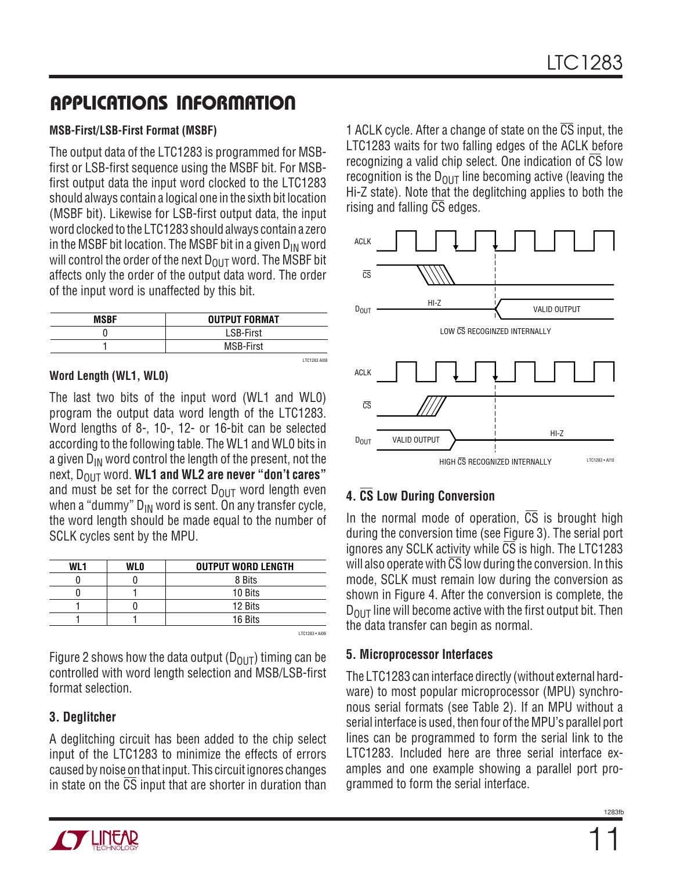### **MSB-First/LSB-First Format (MSBF)**

The output data of the LTC1283 is programmed for MSBfirst or LSB-first sequence using the MSBF bit. For MSBfirst output data the input word clocked to the LTC1283 should always contain a logical one in the sixth bit location (MSBF bit). Likewise for LSB-first output data, the input word clocked to the LTC1283 should always contain a zero in the MSBF bit location. The MSBF bit in a given  $D_{IN}$  word will control the order of the next  $D_{\text{OUT}}$  word. The MSBF bit affects only the order of the output data word. The order of the input word is unaffected by this bit.

| <b>MSBF</b> | <b>OUTPUT FORMAT</b> |
|-------------|----------------------|
|             | <b>LSB-First</b>     |
|             | <b>MSB-First</b>     |
|             | <b>I TC1283 AI08</b> |

### **Word Length (WL1, WL0)**

The last two bits of the input word (WL1 and WL0) program the output data word length of the LTC1283. Word lengths of 8-, 10-, 12- or 16-bit can be selected according to the following table. The WL1 and WL0 bits in a given  $D_{IN}$  word control the length of the present, not the next, D<sub>OUT</sub> word. **WL1 and WL2 are never "don't cares"** and must be set for the correct  $D_{\text{OUT}}$  word length even when a "dummy"  $D_{IN}$  word is sent. On any transfer cycle, the word length should be made equal to the number of SCLK cycles sent by the MPU.

| <b>WI1</b> | <b>WLO</b> | <b>OUTPUT WORD LENGTH</b> |
|------------|------------|---------------------------|
|            |            | 8 Bits                    |
|            |            | 10 Bits                   |
|            |            | 12 Bits                   |
|            |            | 16 Bits                   |
|            |            | <b>I TO1099 + AIOO</b>    |

Figure 2 shows how the data output ( $D_{OUT}$ ) timing can be controlled with word length selection and MSB/LSB-first format selection.

### **3. Deglitcher**

A deglitching circuit has been added to the chip select input of the LTC1283 to minimize the effects of errors caused by noise on that input. This circuit ignores changes in state on the  $\overline{CS}$  input that are shorter in duration than





## **4. CS Low During Conversion**

In the normal mode of operation, CS is brought high during the conversion time (see Figure 3). The serial port ignores any SCLK activity while CS is high. The LTC1283 will also operate with CS low during the conversion. In this mode, SCLK must remain low during the conversion as shown in Figure 4. After the conversion is complete, the  $D_{OUT}$  line will become active with the first output bit. Then the data transfer can begin as normal.

### **5. Microprocessor Interfaces**

The LTC1283 can interface directly (without external hardware) to most popular microprocessor (MPU) synchronous serial formats (see Table 2). If an MPU without a serial interface is used, then four of the MPU's parallel port lines can be programmed to form the serial link to the LTC1283. Included here are three serial interface examples and one example showing a parallel port programmed to form the serial interface.

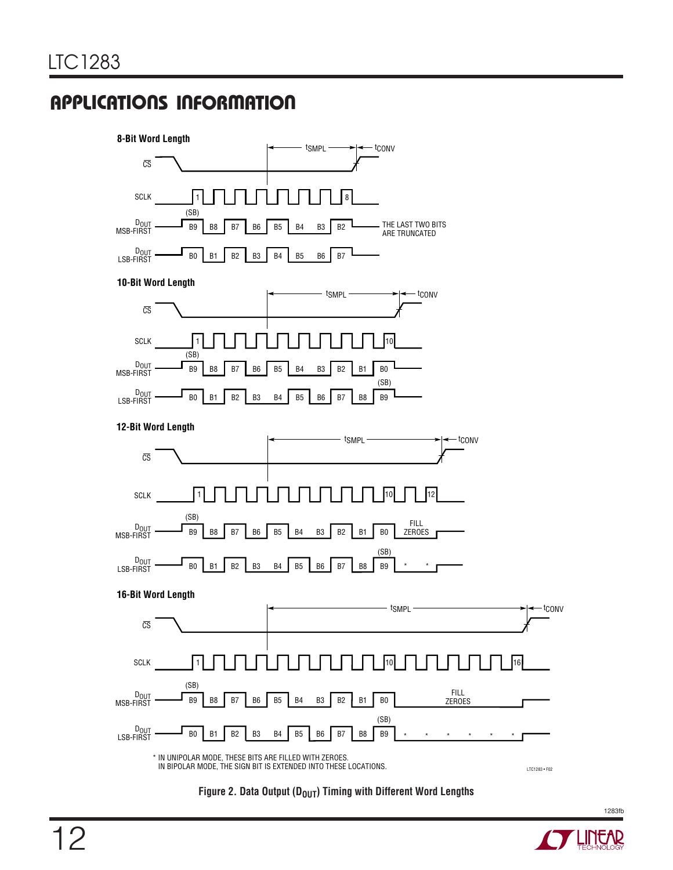

Figure 2. Data Output (D<sub>OUT</sub>) Timing with Different Word Lengths

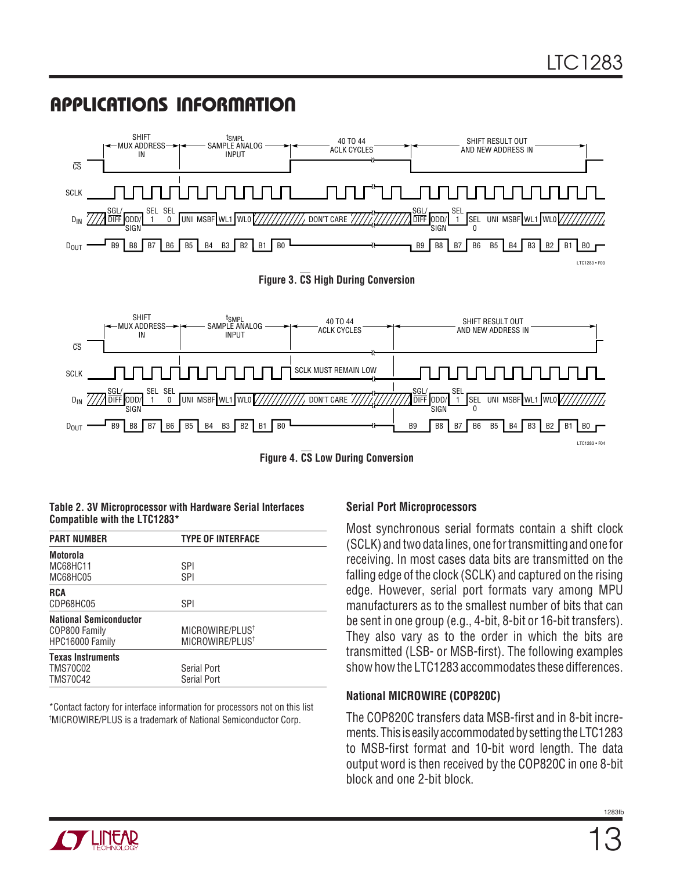

**Figure 4. CS Low During Conversion**

#### **Table 2. 3V Microprocessor with Hardware Serial Interfaces Compatible with the LTC1283\***

| <b>PART NUMBER</b>            | <b>TYPE OF INTERFACE</b>    |
|-------------------------------|-----------------------------|
| Motorola                      |                             |
| MC68HC11                      | SPI                         |
| MC68HC05                      | <b>SPI</b>                  |
| <b>RCA</b>                    |                             |
| CDP68HC05                     | SPI                         |
| <b>National Semiconductor</b> |                             |
| COP800 Family                 | MICROWIRE/PLUS <sup>+</sup> |
| HPC16000 Family               | MICROWIRE/PLUS <sup>†</sup> |
| <b>Texas Instruments</b>      |                             |
| <b>TMS70C02</b>               | Serial Port                 |
| <b>TMS70C42</b>               | Serial Port                 |

\*Contact factory for interface information for processors not on this list † MICROWIRE/PLUS is a trademark of National Semiconductor Corp.

### **Serial Port Microprocessors**

Most synchronous serial formats contain a shift clock (SCLK) and two data lines, one for transmitting and one for receiving. In most cases data bits are transmitted on the falling edge of the clock (SCLK) and captured on the rising edge. However, serial port formats vary among MPU manufacturers as to the smallest number of bits that can be sent in one group (e.g., 4-bit, 8-bit or 16-bit transfers). They also vary as to the order in which the bits are transmitted (LSB- or MSB-first). The following examples show how the LTC1283 accommodates these differences.

### **National MICROWIRE (COP820C)**

The COP820C transfers data MSB-first and in 8-bit increments. This is easily accommodated by setting the LTC1283 to MSB-first format and 10-bit word length. The data output word is then received by the COP820C in one 8-bit block and one 2-bit block.

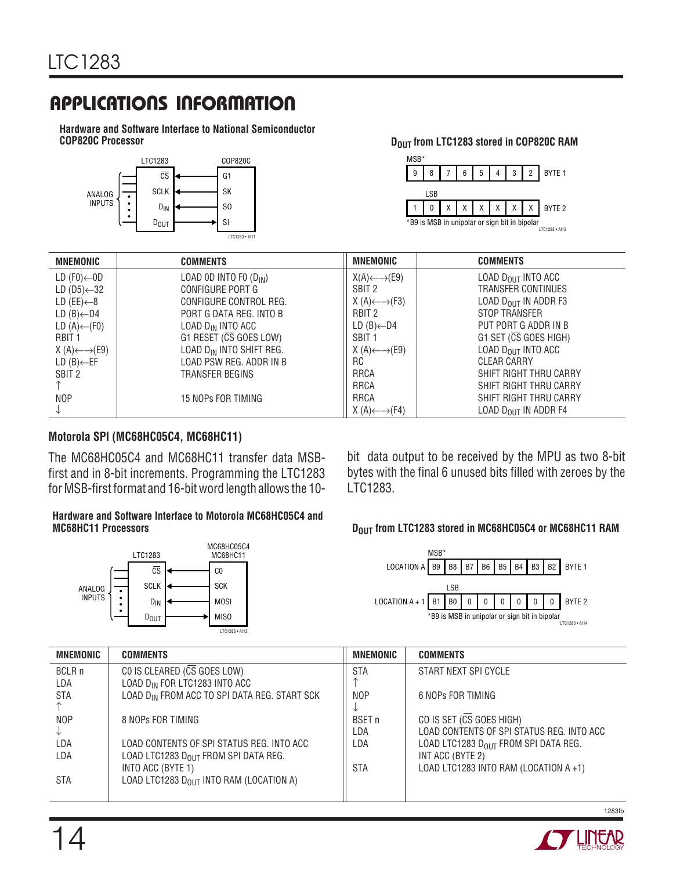**Hardware and Software Interface to National Semiconductor**



**DOUT from LTC1283 stored in COP820C RAM** 



| <b>MNEMONIC</b>                    | <b>COMMENTS</b>                      | <b>MNEMONIC</b>                    | <b>COMMENTS</b>                       |
|------------------------------------|--------------------------------------|------------------------------------|---------------------------------------|
| LD $(F0)$ ←0D                      | LOAD OD INTO FO $(D_{IN})$           | $X(A) \leftarrow \rightarrow (E9)$ | LOAD $D_{OIII}$ INTO ACC              |
| LD (D5) $\leftarrow$ 32            | CONFIGURE PORT G                     | SBIT <sub>2</sub>                  | <b>TRANSFER CONTINUES</b>             |
| LD (EE)←8                          | CONFIGURE CONTROL REG.               | $X(A) \leftarrow \rightarrow (F3)$ | LOAD D <sub>OUT</sub> IN ADDR F3      |
| $LD (B)$ ←D4                       | PORT G DATA REG. INTO B              | RBIT 2                             | STOP TRANSFER                         |
| LD $(A)$ ← $(F0)$                  | LOAD $D_{IN}$ INTO ACC               | $LD (B)$ ←D4                       | PUT PORT G ADDR IN B                  |
| RBIT <sub>1</sub>                  | G1 RESET (CS GOES LOW)               | SBIT <sub>1</sub>                  | $G1$ SET ( $\overline{CS}$ GOES HIGH) |
| $X(A) \leftarrow \rightarrow (E9)$ | LOAD D <sub>IN</sub> INTO SHIFT REG. | $X(A) \leftarrow \rightarrow (E9)$ | LOAD $D_{OIII}$ INTO ACC              |
| $LD(B) \leftarrow EF$              | LOAD PSW REG. ADDR IN B              | RC                                 | <b>CLEAR CARRY</b>                    |
| SBIT 2                             | TRANSFER BEGINS                      | <b>RRCA</b>                        | SHIFT RIGHT THRU CARRY                |
|                                    |                                      | <b>RRCA</b>                        | SHIFT RIGHT THRU CARRY                |
| <b>NOP</b>                         | 15 NOPs FOR TIMING                   | <b>RRCA</b>                        | SHIFT RIGHT THRU CARRY                |
|                                    |                                      | $X(A) \leftarrow \rightarrow (F4)$ | LOAD D <sub>OUT</sub> IN ADDR F4      |

### **Motorola SPI (MC68HC05C4, MC68HC11)**

The MC68HC05C4 and MC68HC11 transfer data MSBfirst and in 8-bit increments. Programming the LTC1283 for MSB-first format and 16-bit word length allows the 10-

#### **Hardware and Software Interface to Motorola MC68HC05C4 and MC68HC11 Processors Dout and SCIET STAR CONTROLLY STAR CONTROLLY ASSESSMENT PROPERTY AND DOUT from LTC1283 stored in MC68HC05C4 or MC68HC11 RAM**



bit data output to be received by the MPU as two 8-bit bytes with the final 6 unused bits filled with zeroes by the LTC1283.



| <b>MNEMONIC</b> | <b>COMMENTS</b>                                          | <b>MNEMONIC</b> | <b>COMMENTS</b>                            |
|-----------------|----------------------------------------------------------|-----------------|--------------------------------------------|
| BCLR n          | CO IS CLEARED $(\overline{CS}$ GOES LOW)                 | <b>STA</b>      | START NEXT SPI CYCLE                       |
| LDA             | LOAD D <sub>IN</sub> FOR LTC1283 INTO ACC                |                 |                                            |
| STA             | LOAD D <sub>IN</sub> FROM ACC TO SPI DATA REG. START SCK | <b>NOP</b>      | 6 NOPs FOR TIMING                          |
|                 |                                                          |                 |                                            |
| <b>NOP</b>      | 8 NOPs FOR TIMING                                        | <b>BSET</b> n   | CO IS SET (CS GOES HIGH)                   |
|                 |                                                          | LDA             | LOAD CONTENTS OF SPI STATUS REG. INTO ACC  |
| LDA             | LOAD CONTENTS OF SPI STATUS REG. INTO ACC                | LDA             | LOAD LTC1283 $D_{OIII}$ FROM SPI DATA REG. |
| LDA             | LOAD LTC1283 D <sub>OUT</sub> FROM SPI DATA REG.         |                 | INT ACC (BYTE 2)                           |
|                 | INTO ACC (BYTE 1)                                        | <b>STA</b>      | LOAD LTC1283 INTO RAM (LOCATION A+1)       |
| STA             | LOAD LTC1283 $D_{OIII}$ INTO RAM (LOCATION A)            |                 |                                            |
|                 |                                                          |                 |                                            |

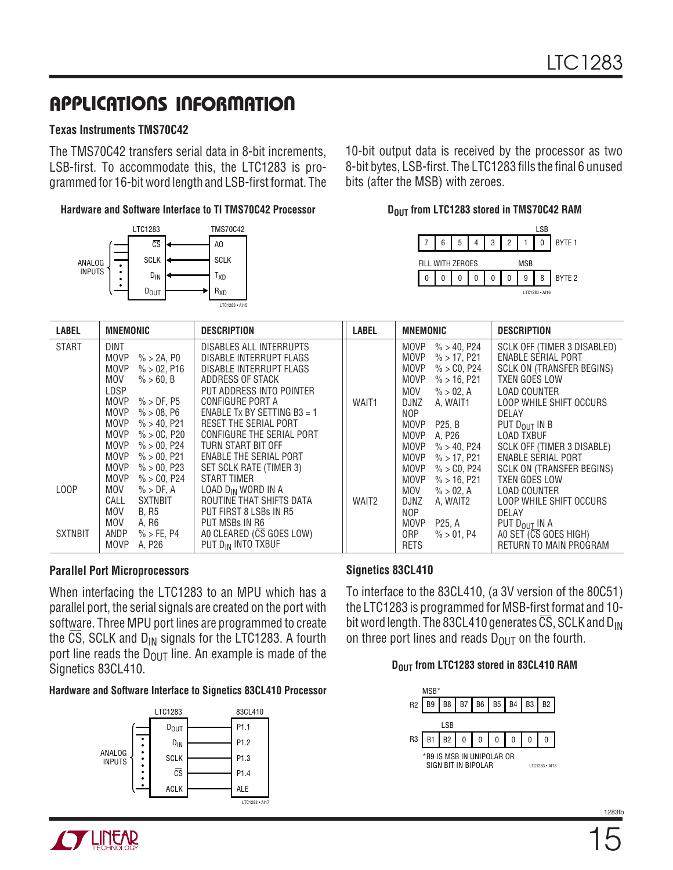### **Texas Instruments TMS70C42**

The TMS70C42 transfers serial data in 8-bit increments, LSB-first. To accommodate this, the LTC1283 is programmed for 16-bit word length and LSB-first format. The

#### **Hardware and Software Interface to TI TMS70C42 Processor**



10-bit output data is received by the processor as two 8-bit bytes, LSB-first. The LTC1283 fills the final 6 unused bits (after the MSB) with zeroes.

#### **DOUT from LTC1283 stored in TMS70C42 RAM**



| <b>LABEL</b>      | <b>MNEMONIC</b>                                                                                                                                                                                                                  | <b>DESCRIPTION</b>                                                                                                                                                                                                                     | <b>LABEL</b>      | <b>MNEMONIC</b>                                                                                                                                                                                                                             | <b>DESCRIPTION</b>                                                                                                                                                                                                               |
|-------------------|----------------------------------------------------------------------------------------------------------------------------------------------------------------------------------------------------------------------------------|----------------------------------------------------------------------------------------------------------------------------------------------------------------------------------------------------------------------------------------|-------------------|---------------------------------------------------------------------------------------------------------------------------------------------------------------------------------------------------------------------------------------------|----------------------------------------------------------------------------------------------------------------------------------------------------------------------------------------------------------------------------------|
| <b>START</b>      | DINT<br>MOVP<br>$\%$ > 2A, P0<br>% > 02, P16<br><b>MOVP</b><br>MOV<br>$\% > 60. B$<br>LDSP<br><b>MOVP</b><br>$\%$ > DF. P5<br><b>MOVP</b><br>% > 08, P6<br>$\% > 40, P21$<br><b>MOVP</b><br><b>MOVP</b><br>% > 0C, P20           | DISABLES ALL INTERRUPTS<br>DISABLE INTERRUPT FLAGS<br>DISABLE INTERRUPT FLAGS<br>ADDRESS OF STACK<br>PUT ADDRESS INTO POINTER<br>CONFIGURE PORT A<br>ENABLE Tx BY SETTING B3 = 1<br>RESET THE SERIAL PORT<br>CONFIGURE THE SERIAL PORT | WAIT1             | <b>MOVP</b><br>$\% > 40, P24$<br><b>MOVP</b><br>$\%$ > 17, P21<br><b>MOVP</b><br>$\% > C0, P24$<br><b>MOVP</b><br>$\%$ > 16, P21<br>MOV<br>$\% > 02, A$<br><b>DJNZ</b><br>A, WAIT1<br>NOP<br><b>MOVP</b><br>P25, B                          | SCLK OFF (TIMER 3 DISABLED)<br><b>ENABLE SERIAL PORT</b><br>SCLK ON (TRANSFER BEGINS)<br><b>TXEN GOES LOW</b><br><b>LOAD COUNTER</b><br>LOOP WHILE SHIFT OCCURS<br>DELAY<br>PUT D <sub>OUT</sub> IN B                            |
| L <sub>0</sub> OP | <b>MOVP</b><br>$\% > 00, P24$<br><b>MOVP</b><br>$\% > 00, P21$<br><b>MOVP</b><br>$\% > 00.$ P23<br><b>MOVP</b><br>$\% > CO$ , P24<br>MOV<br>$\%$ > DF, A<br>CALL<br><b>SXTNBIT</b><br>MOV<br><b>B, R5</b><br><b>MOV</b><br>A, R6 | TURN START BIT OFF<br>ENABLE THE SERIAL PORT<br>SET SCLK RATE (TIMER 3)<br>START TIMER<br>LOAD D <sub>IN</sub> WORD IN A<br>ROUTINE THAT SHIFTS DATA<br>PUT FIRST 8 LSBs IN R5<br>PUT MSBs IN R6                                       | WAIT <sub>2</sub> | <b>MOVP</b><br>A, P26<br><b>MOVP</b><br>$\% > 40, P24$<br><b>MOVP</b><br>$\%$ > 17, P21<br><b>MOVP</b><br>$\% > C0, P24$<br><b>MOVP</b><br>$\%$ > 16, P21<br>MOV<br>$\% > 02, A$<br><b>DJNZ</b><br>A, WAIT2<br>NOP<br><b>MOVP</b><br>P25, A | <b>LOAD TXBUF</b><br>SCLK OFF (TIMER 3 DISABLE)<br><b>ENABLE SERIAL PORT</b><br><b>SCLK ON (TRANSFER BEGINS)</b><br><b>TXEN GOES LOW</b><br><b>LOAD COUNTER</b><br>LOOP WHILE SHIFT OCCURS<br>DELAY<br>PUT D <sub>OUT</sub> IN A |
| <b>SXTNBIT</b>    | ANDP<br>$%$ > FE, P4<br><b>MOVP</b><br>A, P26                                                                                                                                                                                    | AO CLEARED (CS GOES LOW)<br>PUT DIN INTO TXBUF                                                                                                                                                                                         |                   | 0RP<br>$\% > 01, P4$<br><b>RETS</b>                                                                                                                                                                                                         | AO SET (CS GOES HIGH)<br>RETURN TO MAIN PROGRAM                                                                                                                                                                                  |

### **Parallel Port Microprocessors**

When interfacing the LTC1283 to an MPU which has a parallel port, the serial signals are created on the port with software. Three MPU port lines are programmed to create the  $\overline{CS}$ , SCLK and D<sub>IN</sub> signals for the LTC1283. A fourth port line reads the  $D_{\text{OUT}}$  line. An example is made of the Signetics 83CL410.

### **Hardware and Software Interface to Signetics 83CL410 Processor**



### **Signetics 83CL410**

To interface to the 83CL410, (a 3V version of the 80C51) the LTC1283 is programmed for MSB-first format and 10 bit word length. The 83CL410 generates  $\overline{CS}$ , SCLK and D<sub>IN</sub> on three port lines and reads  $D_{\text{OUT}}$  on the fourth.

### **DOUT from LTC1283 stored in 83CL410 RAM**

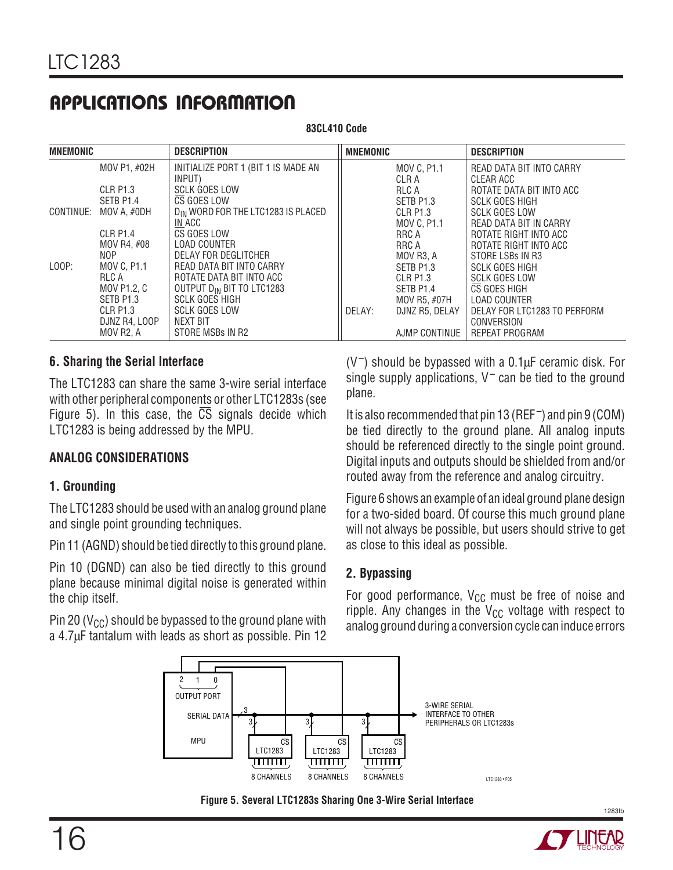**83CL410 Code**

| <b>MNEMONIC</b> |                 | <b>DESCRIPTION</b>                    | <b>MNEMONIC</b> |                | <b>DESCRIPTION</b>           |
|-----------------|-----------------|---------------------------------------|-----------------|----------------|------------------------------|
|                 | MOV P1, #02H    | INITIALIZE PORT 1 (BIT 1 IS MADE AN   |                 | MOV C, P1.1    | READ DATA BIT INTO CARRY     |
|                 |                 | INPUT)                                |                 | CLR A          | CLEAR ACC                    |
|                 | CLR P1.3        | <b>SCLK GOES LOW</b>                  |                 | RLC A          | ROTATE DATA BIT INTO ACC     |
|                 | SETB P1.4       | CS GOES LOW                           |                 | SETB P1.3      | <b>SCLK GOES HIGH</b>        |
| CONTINUE:       | MOV A. #ODH     | DIN WORD FOR THE LTC1283 IS PLACED    |                 | CLR P1.3       | <b>SCLK GOES LOW</b>         |
|                 |                 | IN ACC                                |                 | MOV C, P1.1    | READ DATA BIT IN CARRY       |
|                 | <b>CLR P1.4</b> | CS GOES LOW                           |                 | RRC A          | ROTATE RIGHT INTO ACC        |
|                 | MOV R4, #08     | <b>LOAD COUNTER</b>                   |                 | RRC A          | ROTATE RIGHT INTO ACC        |
|                 | NOP.            | DELAY FOR DEGLITCHER                  |                 | MOV R3, A      | STORE LSBs IN R3             |
| LOOP:           | MOV C. P1.1     | READ DATA BIT INTO CARRY              |                 | SETB P1.3      | <b>SCLK GOES HIGH</b>        |
|                 | RLC A           | ROTATE DATA BIT INTO ACC              |                 | CLR P1.3       | <b>SCLK GOES LOW</b>         |
|                 | MOV P1.2, C     | OUTPUT D <sub>IN</sub> BIT TO LTC1283 |                 | SETB P1.4      | CS GOES HIGH                 |
|                 | SETB P1.3       | <b>SCLK GOES HIGH</b>                 |                 | MOV R5. #07H   | <b>LOAD COUNTER</b>          |
|                 | CLR P1.3        | <b>SCLK GOES LOW</b>                  | DELAY:          | DJNZ R5, DELAY | DELAY FOR LTC1283 TO PERFORM |
|                 | DJNZ R4, LOOP   | NEXT BIT                              |                 |                | CONVERSION                   |
|                 | MOV R2, A       | STORE MSBs IN R2                      |                 | AJMP CONTINUE  | <b>REPEAT PROGRAM</b>        |

### **6. Sharing the Serial Interface**

The LTC1283 can share the same 3-wire serial interface with other peripheral components or other LTC1283s (see Figure 5). In this case, the  $\overline{CS}$  signals decide which LTC1283 is being addressed by the MPU.

## **ANALOG CONSIDERATIONS**

## **1. Grounding**

The LTC1283 should be used with an analog ground plane and single point grounding techniques.

Pin 11 (AGND) should be tied directly to this ground plane.

Pin 10 (DGND) can also be tied directly to this ground plane because minimal digital noise is generated within the chip itself.

Pin 20 ( $V_{\text{CC}}$ ) should be bypassed to the ground plane with a 4.7μF tantalum with leads as short as possible. Pin 12  $(V^-)$  should be bypassed with a 0.1 $\mu$ F ceramic disk. For single supply applications,  $V^-$  can be tied to the ground plane.

It is also recommended that pin 13 (REF –) and pin 9 (COM) be tied directly to the ground plane. All analog inputs should be referenced directly to the single point ground. Digital inputs and outputs should be shielded from and/or routed away from the reference and analog circuitry.

Figure 6 shows an example of an ideal ground plane design for a two-sided board. Of course this much ground plane will not always be possible, but users should strive to get as close to this ideal as possible.

## **2. Bypassing**

For good performance,  $V_{CC}$  must be free of noise and ripple. Any changes in the  $V_{CC}$  voltage with respect to analog ground during a conversion cycle can induce errors





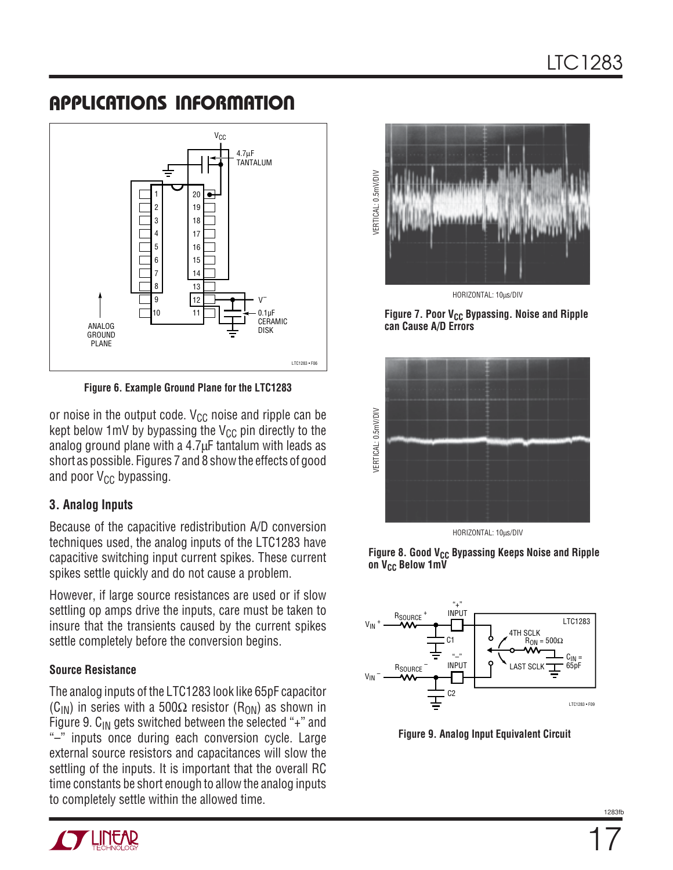

**Figure 6. Example Ground Plane for the LTC1283**

or noise in the output code.  $V_{CC}$  noise and ripple can be kept below 1mV by bypassing the  $V_{CC}$  pin directly to the analog ground plane with a 4.7μF tantalum with leads as short as possible. Figures 7 and 8 show the effects of good and poor  $V_{CC}$  bypassing.

## **3. Analog Inputs**

Because of the capacitive redistribution A/D conversion techniques used, the analog inputs of the LTC1283 have capacitive switching input current spikes. These current spikes settle quickly and do not cause a problem.

However, if large source resistances are used or if slow settling op amps drive the inputs, care must be taken to insure that the transients caused by the current spikes settle completely before the conversion begins.

## **Source Resistance**

The analog inputs of the LTC1283 look like 65pF capacitor (C<sub>IN</sub>) in series with a 500 $\Omega$  resistor (R<sub>ON</sub>) as shown in Figure 9.  $C_{IN}$  gets switched between the selected "+" and "–" inputs once during each conversion cycle. Large external source resistors and capacitances will slow the settling of the inputs. It is important that the overall RC time constants be short enough to allow the analog inputs to completely settle within the allowed time.



Figure 7. Poor V<sub>CC</sub> Bypassing. Noise and Ripple **can Cause A/D Errors**



HORIZONTAL: 10μs/DIV





**Figure 9. Analog Input Equivalent Circuit**

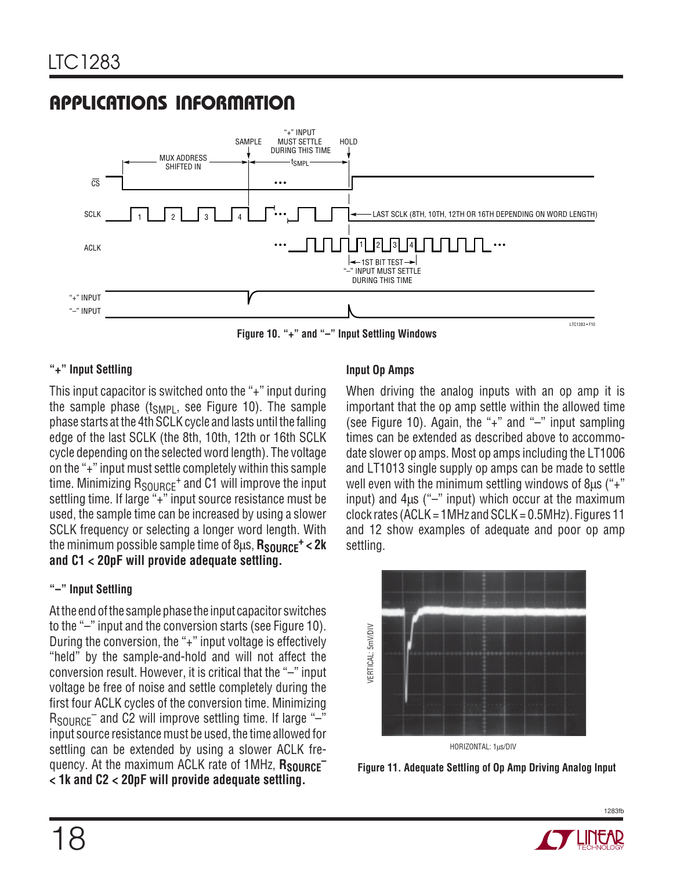

**Figure 10. "+" and "–" Input Settling Windows**

### **"+" Input Settling**

This input capacitor is switched onto the "+" input during the sample phase  $(t_{SMP1},$  see Figure 10). The sample phase starts at the 4th SCLK cycle and lasts until the falling edge of the last SCLK (the 8th, 10th, 12th or 16th SCLK cycle depending on the selected word length). The voltage on the "+" input must settle completely within this sample time. Minimizing  $R_{SOLBCF}$ <sup>+</sup> and C1 will improve the input settling time. If large "+" input source resistance must be used, the sample time can be increased by using a slower SCLK frequency or selecting a longer word length. With the minimum possible sample time of 8μs, **R<sub>SOURCE</sub><sup>+</sup> < 2k and C1 < 20pF will provide adequate settling.**

### **"–" Input Settling**

At the end of the sample phase the input capacitor switches to the "–" input and the conversion starts (see Figure 10). During the conversion, the "+" input voltage is effectively "held" by the sample-and-hold and will not affect the conversion result. However, it is critical that the "–" input voltage be free of noise and settle completely during the first four ACLK cycles of the conversion time. Minimizing  $R_{\text{SOLRCF}}$  and C2 will improve settling time. If large "-" input source resistance must be used, the time allowed for settling can be extended by using a slower ACLK frequency. At the maximum ACLK rate of 1MHz, **RSOURCE– < 1k and C2 < 20pF will provide adequate settling.**

### **Input Op Amps**

When driving the analog inputs with an op amp it is important that the op amp settle within the allowed time (see Figure 10). Again, the "+" and "–" input sampling times can be extended as described above to accommodate slower op amps. Most op amps including the LT1006 and LT1013 single supply op amps can be made to settle well even with the minimum settling windows of 8μs ("+" input) and  $4\mu s$  ("-" input) which occur at the maximum clock rates (ACLK = 1MHz and SCLK = 0.5MHz). Figures 11 and 12 show examples of adequate and poor op amp settling.



**Figure 11. Adequate Settling of Op Amp Driving Analog Input**

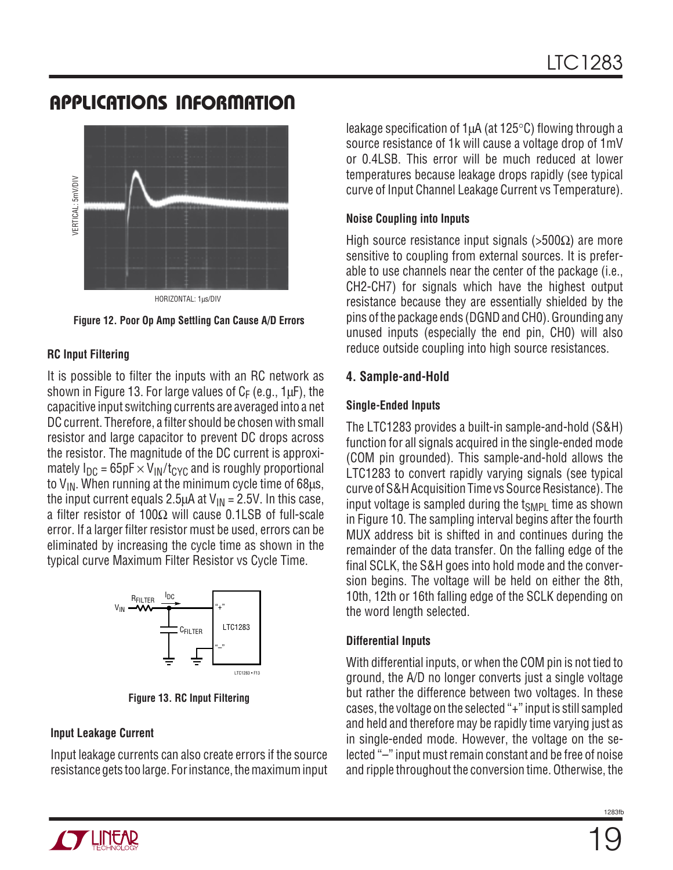

**Figure 12. Poor Op Amp Settling Can Cause A/D Errors**

### **RC Input Filtering**

It is possible to filter the inputs with an RC network as shown in Figure 13. For large values of  $C_F$  (e.g., 1 $\mu$ F), the capacitive input switching currents are averaged into a net DC current. Therefore, a filter should be chosen with small resistor and large capacitor to prevent DC drops across the resistor. The magnitude of the DC current is approximately  $I_{DC}$  = 65pF  $\times$  V<sub>IN</sub>/t<sub>CYC</sub> and is roughly proportional to  $V_{IN}$ . When running at the minimum cycle time of 68 $\mu$ s, the input current equals 2.5 $\mu$ A at V<sub>IN</sub> = 2.5V. In this case, a filter resistor of 100Ω will cause 0.1LSB of full-scale error. If a larger filter resistor must be used, errors can be eliminated by increasing the cycle time as shown in the typical curve Maximum Filter Resistor vs Cycle Time.



**Figure 13. RC Input Filtering**

### **Input Leakage Current**

Input leakage currents can also create errors if the source resistance gets too large. For instance, the maximum input leakage specification of 1μA (at 125°C) flowing through a source resistance of 1k will cause a voltage drop of 1mV or 0.4LSB. This error will be much reduced at lower temperatures because leakage drops rapidly (see typical curve of Input Channel Leakage Current vs Temperature).

### **Noise Coupling into Inputs**

High source resistance input signals (>500Ω) are more sensitive to coupling from external sources. It is preferable to use channels near the center of the package (i.e., CH2-CH7) for signals which have the highest output resistance because they are essentially shielded by the pins of the package ends (DGND and CH0). Grounding any unused inputs (especially the end pin, CH0) will also reduce outside coupling into high source resistances.

## **4. Sample-and-Hold**

## **Single-Ended Inputs**

The LTC1283 provides a built-in sample-and-hold (S&H) function for all signals acquired in the single-ended mode (COM pin grounded). This sample-and-hold allows the LTC1283 to convert rapidly varying signals (see typical curve of S&H Acquisition Time vs Source Resistance). The input voltage is sampled during the  $t_{SMP1}$  time as shown in Figure 10. The sampling interval begins after the fourth MUX address bit is shifted in and continues during the remainder of the data transfer. On the falling edge of the final SCLK, the S&H goes into hold mode and the conversion begins. The voltage will be held on either the 8th, 10th, 12th or 16th falling edge of the SCLK depending on the word length selected.

### **Differential Inputs**

With differential inputs, or when the COM pin is not tied to ground, the A/D no longer converts just a single voltage but rather the difference between two voltages. In these cases, the voltage on the selected "+" input is still sampled and held and therefore may be rapidly time varying just as in single-ended mode. However, the voltage on the selected "–" input must remain constant and be free of noise and ripple throughout the conversion time. Otherwise, the

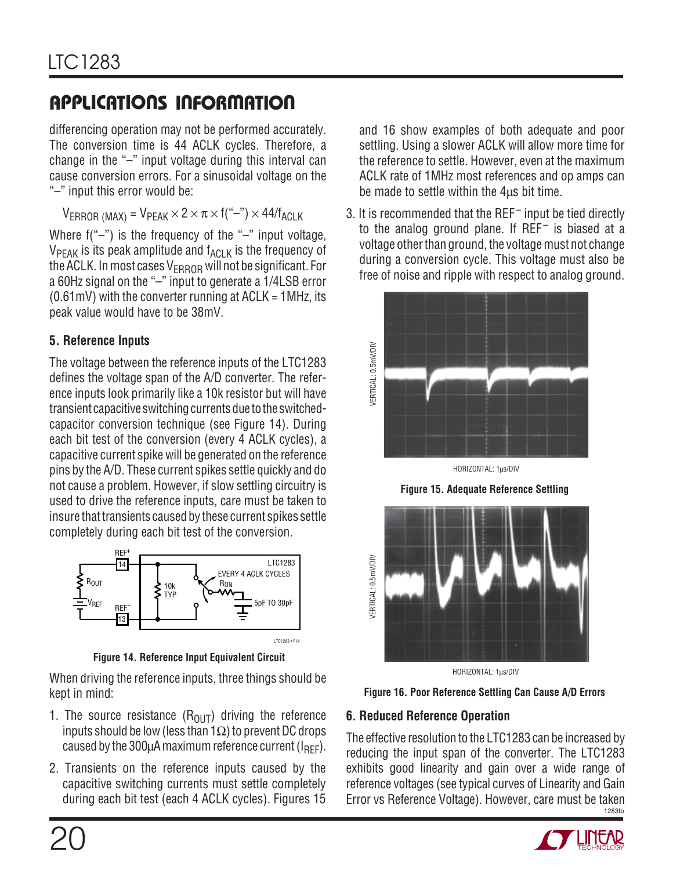differencing operation may not be performed accurately. The conversion time is 44 ACLK cycles. Therefore, a change in the "–" input voltage during this interval can cause conversion errors. For a sinusoidal voltage on the "–" input this error would be:

 $V_{ERROR (MAX)} = V_{PEAK} \times 2 \times \pi \times f("--") \times 44/f_{ACLK}$ 

Where  $f("-")$  is the frequency of the "-" input voltage,  $V_{PEAK}$  is its peak amplitude and  $f_{ACLK}$  is the frequency of the ACLK. In most cases  $V_{ERROR}$  will not be significant. For a 60Hz signal on the "–" input to generate a 1/4LSB error  $(0.61 \text{mV})$  with the converter running at ACLK = 1MHz, its peak value would have to be 38mV.

## **5. Reference Inputs**

The voltage between the reference inputs of the LTC1283 defines the voltage span of the A/D converter. The reference inputs look primarily like a 10k resistor but will have transient capacitive switching currents due to the switchedcapacitor conversion technique (see Figure 14). During each bit test of the conversion (every 4 ACLK cycles), a capacitive current spike will be generated on the reference pins by the A/D. These current spikes settle quickly and do not cause a problem. However, if slow settling circuitry is used to drive the reference inputs, care must be taken to insure that transients caused by these current spikes settle completely during each bit test of the conversion.



**Figure 14. Reference Input Equivalent Circuit**

When driving the reference inputs, three things should be kept in mind:

- 1. The source resistance  $(R<sub>OlIT</sub>)$  driving the reference inputs should be low (less than 1Ω) to prevent DC drops caused by the 300 $\mu$ A maximum reference current ( $I_{\text{RFF}}$ ).
- 2. Transients on the reference inputs caused by the capacitive switching currents must settle completely during each bit test (each 4 ACLK cycles). Figures 15

and 16 show examples of both adequate and poor settling. Using a slower ACLK will allow more time for the reference to settle. However, even at the maximum ACLK rate of 1MHz most references and op amps can be made to settle within the 4μs bit time.

3. It is recommended that the  $REF$  input be tied directly to the analog ground plane. If  $REF^-$  is biased at a voltage other than ground, the voltage must not change during a conversion cycle. This voltage must also be free of noise and ripple with respect to analog ground.



HORIZONTAL: 1μs/DIV





HORIZONTAL: 1μs/DIV



## **6. Reduced Reference Operation**

1283fb The effective resolution to the LTC1283 can be increased by reducing the input span of the converter. The LTC1283 exhibits good linearity and gain over a wide range of reference voltages (see typical curves of Linearity and Gain Error vs Reference Voltage). However, care must be taken

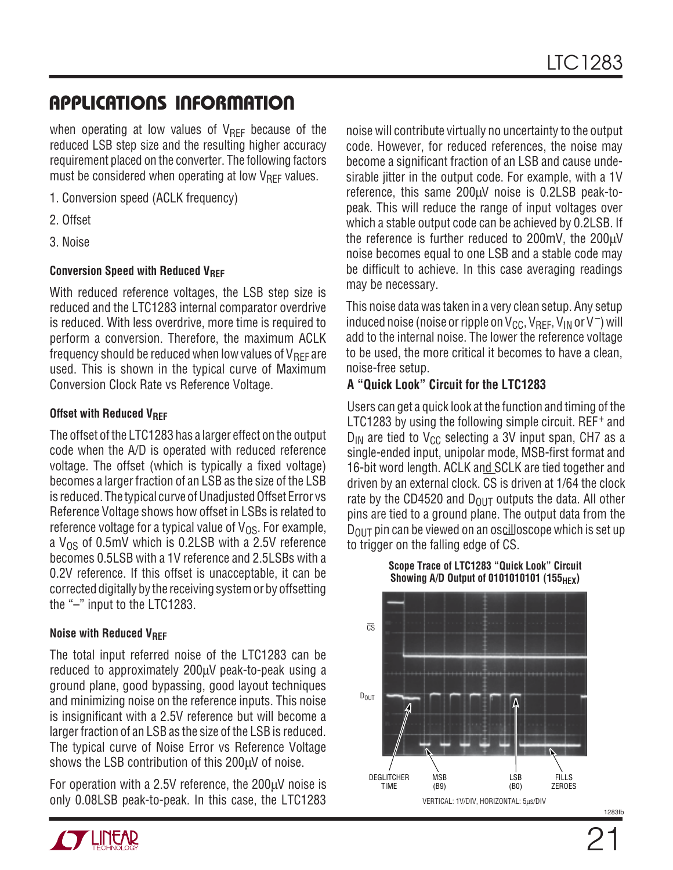when operating at low values of  $V_{\text{RFF}}$  because of the reduced LSB step size and the resulting higher accuracy requirement placed on the converter. The following factors must be considered when operating at low  $V_{\text{REF}}$  values.

- 1. Conversion speed (ACLK frequency)
- 2. Offset
- 3. Noise

### **Conversion Speed with Reduced VREF**

With reduced reference voltages, the LSB step size is reduced and the LTC1283 internal comparator overdrive is reduced. With less overdrive, more time is required to perform a conversion. Therefore, the maximum ACLK frequency should be reduced when low values of  $V_{\text{RFF}}$  are used. This is shown in the typical curve of Maximum Conversion Clock Rate vs Reference Voltage.

### **Offset with Reduced VREF**

The offset of the LTC1283 has a larger effect on the output code when the A/D is operated with reduced reference voltage. The offset (which is typically a fixed voltage) becomes a larger fraction of an LSB as the size of the LSB is reduced. The typical curve of Unadjusted Offset Error vs Reference Voltage shows how offset in LSBs is related to reference voltage for a typical value of  $V_{OS}$ . For example, a  $V_{OS}$  of 0.5mV which is 0.2LSB with a 2.5V reference becomes 0.5LSB with a 1V reference and 2.5LSBs with a 0.2V reference. If this offset is unacceptable, it can be corrected digitally by the receiving system or by offsetting the "–" input to the LTC1283.

### **Noise with Reduced V<sub>REF</sub>**

The total input referred noise of the LTC1283 can be reduced to approximately 200μV peak-to-peak using a ground plane, good bypassing, good layout techniques and minimizing noise on the reference inputs. This noise is insignificant with a 2.5V reference but will become a larger fraction of an LSB as the size of the LSB is reduced. The typical curve of Noise Error vs Reference Voltage shows the LSB contribution of this 200μV of noise.

For operation with a 2.5V reference, the 200μV noise is only 0.08LSB peak-to-peak. In this case, the LTC1283



noise will contribute virtually no uncertainty to the output code. However, for reduced references, the noise may become a significant fraction of an LSB and cause undesirable jitter in the output code. For example, with a 1V reference, this same 200μV noise is 0.2LSB peak-topeak. This will reduce the range of input voltages over which a stable output code can be achieved by 0.2LSB. If the reference is further reduced to 200mV, the 200μV noise becomes equal to one LSB and a stable code may be difficult to achieve. In this case averaging readings may be necessary.

This noise data was taken in a very clean setup. Any setup induced noise (noise or ripple on  $V_{CC}$ ,  $V_{REF}$ ,  $V_{IN}$  or  $V^-$ ) will add to the internal noise. The lower the reference voltage to be used, the more critical it becomes to have a clean, noise-free setup.

### **A "Quick Look" Circuit for the LTC1283**

Users can get a quick look at the function and timing of the LTC1283 by using the following simple circuit. REF<sup>+</sup> and  $D_{IN}$  are tied to V<sub>CC</sub> selecting a 3V input span, CH7 as a single-ended input, unipolar mode, MSB-first format and 16-bit word length. ACLK and SCLK are tied together and driven by an external clock. CS is driven at 1/64 the clock rate by the CD4520 and  $D_{OIII}$  outputs the data. All other pins are tied to a ground plane. The output data from the  $D_{\text{OUT}}$  pin can be viewed on an oscilloscope which is set up to trigger on the falling edge of CS.

**Scope Trace of LTC1283 "Quick Look" Circuit Showing A/D Output of 0101010101 (155** $_{\text{HEX}}$ **)** 

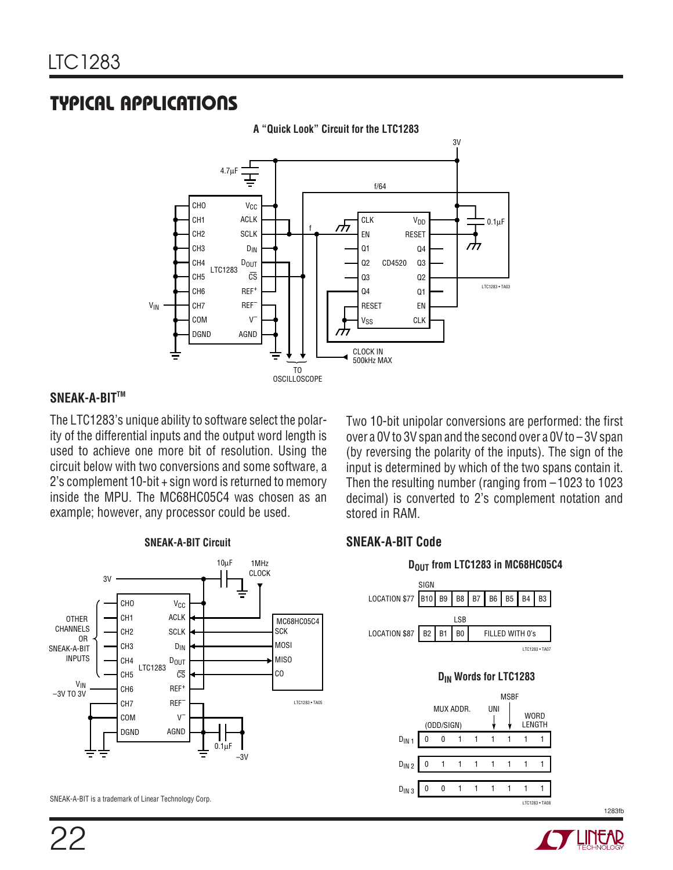## **U A S O TYPICAL PPLICATI**



**A "Quick Look" Circuit for the LTC1283**

### **SNEAK-A-BITTM**

The LTC1283's unique ability to software select the polarity of the differential inputs and the output word length is used to achieve one more bit of resolution. Using the circuit below with two conversions and some software, a 2's complement 10-bit + sign word is returned to memory inside the MPU. The MC68HC05C4 was chosen as an example; however, any processor could be used.

Two 10-bit unipolar conversions are performed: the first over a 0V to 3V span and the second over a 0V to –3V span (by reversing the polarity of the inputs). The sign of the input is determined by which of the two spans contain it. Then the resulting number (ranging from –1023 to 1023 decimal) is converted to 2's complement notation and stored in RAM.

#### LTC1283 • TA05 MC68HC05C4 SCK MOSI MISO CO  $-3V$ 0.1μF 1MHz CLOCK OTHER CHANNELS OR SNEAK-A-BIT INPUTS  $3V$ LTC1283 CHO CH1 CH2 CH3 CH4 CH<sub>5</sub> CH6 CH7 COM DGND  $V_{C}C$ ACLK SCLK  $D_{IN}$ DOUT  $\overline{\mathbb{CS}}$ REF<sup>+</sup> REF–  $\mathbf{V}$ AGND 10μF VIN –3V TO 3V **SNEAK-A-BIT Circuit**

**SNEAK-A-BIT Code**

#### **DOUT from LTC1283 in MC68HC05C4** LOCATION \$77 B10 B9 B8 B7 B6 B5 B4 B3 SIGN LSB LTC1283 • TA07 B2 B1 B0 FILLED WITH 0's LOCATION \$87 **D<sub>IN</sub>** Words for LTC1283 00111111 UNI  $D_{IN}$  1 MSBF WORD<br>LENGTH (ODD/SIGN) MUX ADDR.  $D_{1N2}$  0 1 1 1 1 1 1 1  $D_{IN3}$  0 0 1 1 1 1 1 1

SNEAK-A-BIT is a trademark of Linear Technology Corp.



LTC1283 • TA08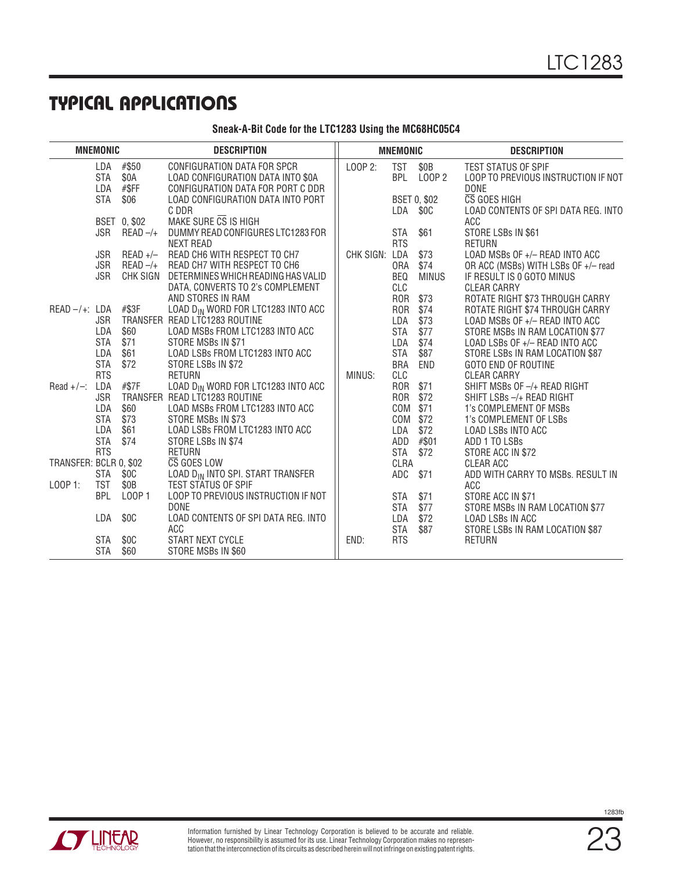## **U A S O TYPICAL PPLICATI**

| Sneak-A-Bit Code for the LTC1283 Using the MC68HC05C4 |  |  |  |
|-------------------------------------------------------|--|--|--|
|-------------------------------------------------------|--|--|--|

| <b>MNEMONIC</b>        |                          |                        | <b>DESCRIPTION</b>                                                                                    |           | <b>MNEMONIC</b>          |                             | <b>DESCRIPTION</b>                                                               |
|------------------------|--------------------------|------------------------|-------------------------------------------------------------------------------------------------------|-----------|--------------------------|-----------------------------|----------------------------------------------------------------------------------|
|                        | LDA<br><b>STA</b><br>LDA | #\$50<br>\$0A<br>#\$FF | CONFIGURATION DATA FOR SPCR<br>LOAD CONFIGURATION DATA INTO \$0A<br>CONFIGURATION DATA FOR PORT C DDR | LOOP 2:   | <b>TST</b>               | \$0B<br>BPL LOOP 2          | <b>TEST STATUS OF SPIF</b><br>LOOP TO PREVIOUS INSTRUCTION IF NOT<br><b>DONE</b> |
|                        | <b>STA</b>               | \$06                   | LOAD CONFIGURATION DATA INTO PORT<br>C DDR                                                            |           | LDA                      | <b>BSET 0, \$02</b><br>\$0C | CS GOES HIGH<br>LOAD CONTENTS OF SPI DATA REG. INTO                              |
|                        |                          | BSET 0, \$02           | MAKE SURE CS IS HIGH                                                                                  |           |                          |                             | ACC                                                                              |
|                        | JSR                      | $READ -/+$             | DUMMY READ CONFIGURES LTC1283 FOR<br><b>NEXT READ</b>                                                 |           | <b>STA</b><br><b>RTS</b> | \$61                        | STORE LSBs IN \$61<br><b>RETURN</b>                                              |
|                        | JSR<br><b>JSR</b>        | $READ +$<br>$READ -/+$ | READ CH6 WITH RESPECT TO CH7<br>READ CH7 WITH RESPECT TO CH6                                          | CHK SIGN: | LDA<br><b>ORA</b>        | \$73<br>\$74                | LOAD MSBs OF +/- READ INTO ACC<br>OR ACC (MSBs) WITH LSBs OF +/- read            |
|                        | <b>JSR</b>               | CHK SIGN               | DETERMINES WHICH READING HAS VALID                                                                    |           | BEQ                      | <b>MINUS</b>                | IF RESULT IS 0 GOTO MINUS                                                        |
|                        |                          |                        | DATA, CONVERTS TO 2's COMPLEMENT<br>AND STORES IN RAM                                                 |           | CLC<br><b>ROR</b>        | \$73                        | <b>CLEAR CARRY</b><br>ROTATE RIGHT \$73 THROUGH CARRY                            |
| $READ -/+: LDA$ #\$3F  | JSR                      |                        | LOAD D <sub>IN</sub> WORD FOR LTC1283 INTO ACC<br>TRANSFER READ LTC1283 ROUTINE                       |           | <b>ROR</b><br>LDA        | \$74<br>\$73                | ROTATE RIGHT \$74 THROUGH CARRY<br>LOAD MSBs OF +/- READ INTO ACC                |
|                        | LDA                      | \$60                   | LOAD MSBs FROM LTC1283 INTO ACC                                                                       |           | <b>STA</b>               | \$77                        | STORE MSBs IN RAM LOCATION \$77                                                  |
|                        | <b>STA</b>               | \$71                   | STORE MSBs IN \$71                                                                                    |           | LDA                      | \$74                        | LOAD LSBs OF +/- READ INTO ACC                                                   |
|                        | LDA                      | \$61                   | LOAD LSBs FROM LTC1283 INTO ACC                                                                       |           | <b>STA</b>               | \$87                        | STORE LSBs IN RAM LOCATION \$87                                                  |
|                        | <b>STA</b>               | \$72                   | STORE LSBs IN \$72                                                                                    |           | <b>BRA</b>               | END                         | <b>GOTO END OF ROUTINE</b>                                                       |
|                        | <b>RTS</b>               |                        | <b>RETURN</b>                                                                                         | MINUS:    | CLC                      |                             | <b>CLEAR CARRY</b>                                                               |
| $Read + / -$ :         | LDA                      | #\$7F                  | LOAD D <sub>IN</sub> WORD FOR LTC1283 INTO ACC                                                        |           | <b>ROR</b>               | \$71                        | SHIFT MSBs OF -/+ READ RIGHT                                                     |
|                        | <b>JSR</b>               |                        | TRANSFER READ LTC1283 ROUTINE                                                                         |           | <b>ROR</b>               | \$72                        | SHIFT LSBs -/+ READ RIGHT                                                        |
|                        | LDA                      | \$60                   | LOAD MSBs FROM LTC1283 INTO ACC                                                                       |           | COM                      | \$71                        | 1's COMPLEMENT OF MSBs                                                           |
|                        | <b>STA</b>               | \$73                   | STORE MSBs IN \$73                                                                                    |           | COM                      | \$72                        | 1's COMPLEMENT OF LSBs                                                           |
|                        | LDA                      | \$61                   | LOAD LSBs FROM LTC1283 INTO ACC                                                                       |           | LDA                      | \$72                        | <b>LOAD LSBS INTO ACC</b>                                                        |
|                        | <b>STA</b>               | \$74                   | STORE LSBs IN \$74                                                                                    |           | ADD                      | #\$01                       | ADD 1 TO LSBs                                                                    |
|                        | <b>RTS</b>               |                        | <b>RETURN</b>                                                                                         |           | <b>STA</b>               | \$72                        | STORE ACC IN \$72                                                                |
| TRANSFER: BCLR 0, \$02 |                          |                        | CS GOES LOW                                                                                           |           | CLRA                     |                             | CLEAR ACC                                                                        |
|                        | STA                      | \$0C                   | LOAD DIN INTO SPI. START TRANSFER                                                                     |           | ADC                      | \$71                        | ADD WITH CARRY TO MSBs. RESULT IN                                                |
| LOOP 1:                | <b>TST</b>               | \$0B                   | <b>TEST STATUS OF SPIF</b>                                                                            |           |                          |                             | ACC                                                                              |
|                        | <b>BPL</b>               | L00P1                  | LOOP TO PREVIOUS INSTRUCTION IF NOT                                                                   |           | STA                      | \$71                        | STORE ACC IN \$71                                                                |
|                        |                          |                        | <b>DONE</b>                                                                                           |           | <b>STA</b>               | \$77                        | STORE MSBs IN RAM LOCATION \$77                                                  |
|                        | LDA                      | \$0C                   | LOAD CONTENTS OF SPI DATA REG. INTO<br>ACC                                                            |           | LDA<br>STA               | \$72<br>\$87                | <b>LOAD LSBs IN ACC</b><br>STORE LSBs IN RAM LOCATION \$87                       |
|                        | STA                      | \$0C                   | START NEXT CYCLE                                                                                      | END:      | <b>RTS</b>               |                             | <b>RETURN</b>                                                                    |
|                        | <b>STA</b>               | \$60                   | STORE MSBs IN \$60                                                                                    |           |                          |                             |                                                                                  |